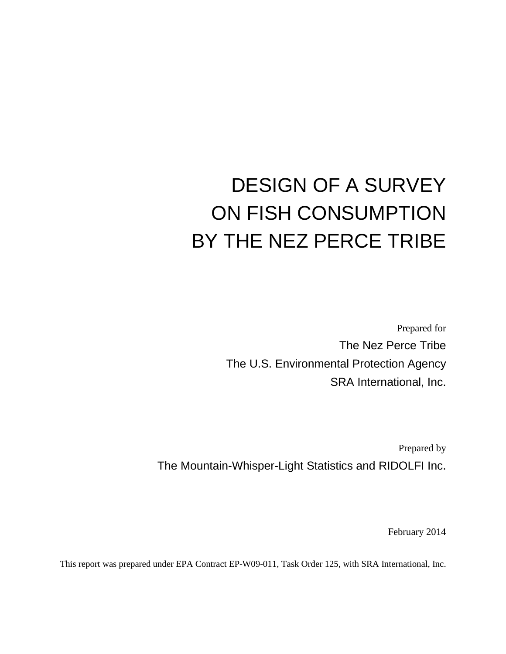# DESIGN OF A SURVEY ON FISH CONSUMPTION BY THE NEZ PERCE TRIBE

Prepared for The Nez Perce Tribe The U.S. Environmental Protection Agency SRA International, Inc.

Prepared by The Mountain-Whisper-Light Statistics and RIDOLFI Inc.

February 2014

This report was prepared under EPA Contract EP-W09-011, Task Order 125, with SRA International, Inc.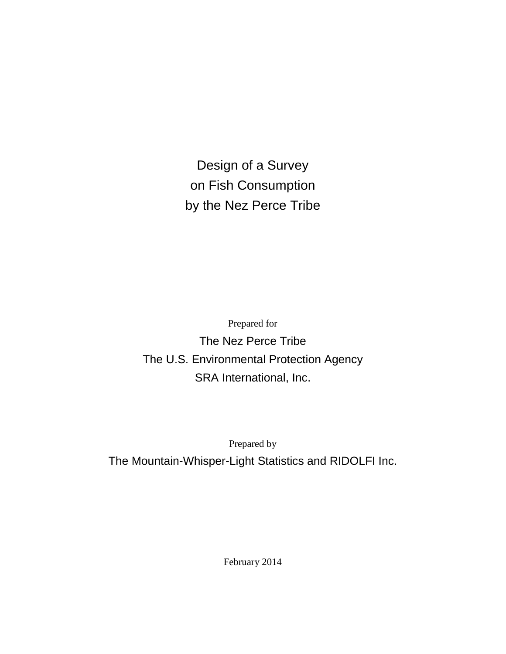Design of a Survey on Fish Consumption by the Nez Perce Tribe

Prepared for The Nez Perce Tribe The U.S. Environmental Protection Agency SRA International, Inc.

Prepared by

The Mountain-Whisper-Light Statistics and RIDOLFI Inc.

February 2014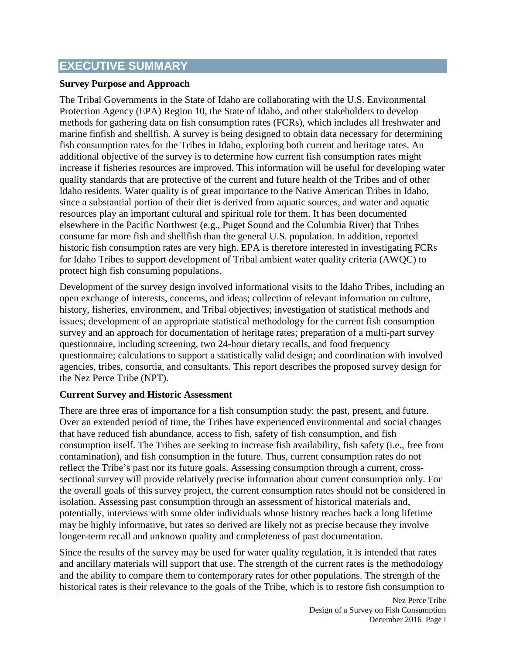# **EXECUTIVE SUMMARY**

#### **Survey Purpose and Approach**

The Tribal Governments in the State of Idaho are collaborating with the U.S. Environmental Protection Agency (EPA) Region 10, the State of Idaho, and other stakeholders to develop methods for gathering data on fish consumption rates (FCRs), which includes all freshwater and marine finfish and shellfish. A survey is being designed to obtain data necessary for determining fish consumption rates for the Tribes in Idaho, exploring both current and heritage rates. An additional objective of the survey is to determine how current fish consumption rates might increase if fisheries resources are improved. This information will be useful for developing water quality standards that are protective of the current and future health of the Tribes and of other Idaho residents. Water quality is of great importance to the Native American Tribes in Idaho, since a substantial portion of their diet is derived from aquatic sources, and water and aquatic resources play an important cultural and spiritual role for them. It has been documented elsewhere in the Pacific Northwest (e.g., Puget Sound and the Columbia River) that Tribes consume far more fish and shellfish than the general U.S. population. In addition, reported historic fish consumption rates are very high. EPA is therefore interested in investigating FCRs for Idaho Tribes to support development of Tribal ambient water quality criteria (AWQC) to protect high fish consuming populations.

Development of the survey design involved informational visits to the Idaho Tribes, including an open exchange of interests, concerns, and ideas; collection of relevant information on culture, history, fisheries, environment, and Tribal objectives; investigation of statistical methods and issues; development of an appropriate statistical methodology for the current fish consumption survey and an approach for documentation of heritage rates; preparation of a multi-part survey questionnaire, including screening, two 24-hour dietary recalls, and food frequency questionnaire; calculations to support a statistically valid design; and coordination with involved agencies, tribes, consortia, and consultants. This report describes the proposed survey design for the Nez Perce Tribe (NPT).

#### **Current Survey and Historic Assessment**

There are three eras of importance for a fish consumption study: the past, present, and future. Over an extended period of time, the Tribes have experienced environmental and social changes that have reduced fish abundance, access to fish, safety of fish consumption, and fish consumption itself. The Tribes are seeking to increase fish availability, fish safety (i.e., free from contamination), and fish consumption in the future. Thus, current consumption rates do not reflect the Tribe's past nor its future goals. Assessing consumption through a current, crosssectional survey will provide relatively precise information about current consumption only. For the overall goals of this survey project, the current consumption rates should not be considered in isolation. Assessing past consumption through an assessment of historical materials and, potentially, interviews with some older individuals whose history reaches back a long lifetime may be highly informative, but rates so derived are likely not as precise because they involve longer-term recall and unknown quality and completeness of past documentation.

Since the results of the survey may be used for water quality regulation, it is intended that rates and ancillary materials will support that use. The strength of the current rates is the methodology and the ability to compare them to contemporary rates for other populations. The strength of the historical rates is their relevance to the goals of the Tribe, which is to restore fish consumption to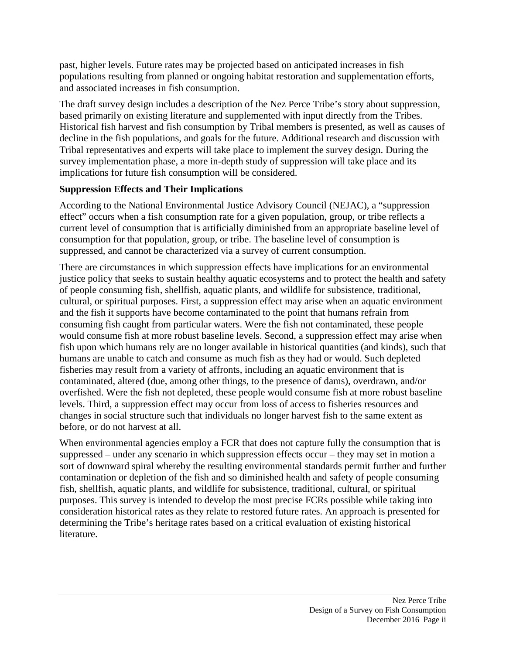past, higher levels. Future rates may be projected based on anticipated increases in fish populations resulting from planned or ongoing habitat restoration and supplementation efforts, and associated increases in fish consumption.

The draft survey design includes a description of the Nez Perce Tribe's story about suppression, based primarily on existing literature and supplemented with input directly from the Tribes. Historical fish harvest and fish consumption by Tribal members is presented, as well as causes of decline in the fish populations, and goals for the future. Additional research and discussion with Tribal representatives and experts will take place to implement the survey design. During the survey implementation phase, a more in-depth study of suppression will take place and its implications for future fish consumption will be considered.

#### **Suppression Effects and Their Implications**

According to the National Environmental Justice Advisory Council (NEJAC), a "suppression effect" occurs when a fish consumption rate for a given population, group, or tribe reflects a current level of consumption that is artificially diminished from an appropriate baseline level of consumption for that population, group, or tribe. The baseline level of consumption is suppressed, and cannot be characterized via a survey of current consumption.

There are circumstances in which suppression effects have implications for an environmental justice policy that seeks to sustain healthy aquatic ecosystems and to protect the health and safety of people consuming fish, shellfish, aquatic plants, and wildlife for subsistence, traditional, cultural, or spiritual purposes. First, a suppression effect may arise when an aquatic environment and the fish it supports have become contaminated to the point that humans refrain from consuming fish caught from particular waters. Were the fish not contaminated, these people would consume fish at more robust baseline levels. Second, a suppression effect may arise when fish upon which humans rely are no longer available in historical quantities (and kinds), such that humans are unable to catch and consume as much fish as they had or would. Such depleted fisheries may result from a variety of affronts, including an aquatic environment that is contaminated, altered (due, among other things, to the presence of dams), overdrawn, and/or overfished. Were the fish not depleted, these people would consume fish at more robust baseline levels. Third, a suppression effect may occur from loss of access to fisheries resources and changes in social structure such that individuals no longer harvest fish to the same extent as before, or do not harvest at all.

When environmental agencies employ a FCR that does not capture fully the consumption that is suppressed – under any scenario in which suppression effects occur – they may set in motion a sort of downward spiral whereby the resulting environmental standards permit further and further contamination or depletion of the fish and so diminished health and safety of people consuming fish, shellfish, aquatic plants, and wildlife for subsistence, traditional, cultural, or spiritual purposes. This survey is intended to develop the most precise FCRs possible while taking into consideration historical rates as they relate to restored future rates. An approach is presented for determining the Tribe's heritage rates based on a critical evaluation of existing historical literature.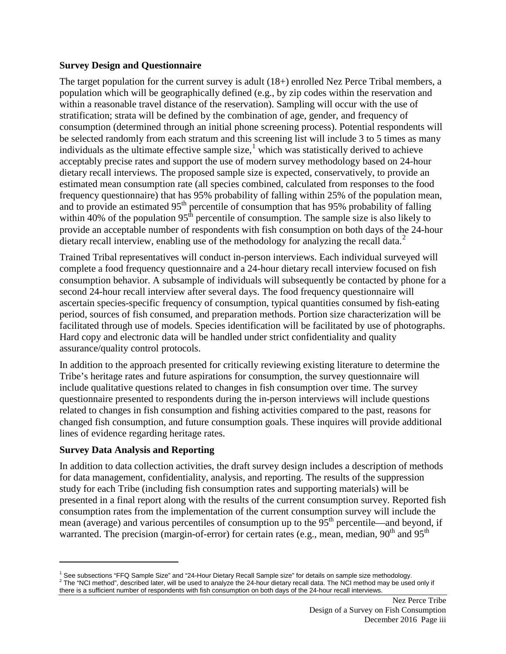#### **Survey Design and Questionnaire**

The target population for the current survey is adult (18+) enrolled Nez Perce Tribal members, a population which will be geographically defined (e.g., by zip codes within the reservation and within a reasonable travel distance of the reservation). Sampling will occur with the use of stratification; strata will be defined by the combination of age, gender, and frequency of consumption (determined through an initial phone screening process). Potential respondents will be selected randomly from each stratum and this screening list will include 3 to 5 times as many individuals as the ultimate effective sample size,<sup>[1](#page-4-0)</sup> which was statistically derived to achieve acceptably precise rates and support the use of modern survey methodology based on 24-hour dietary recall interviews. The proposed sample size is expected, conservatively, to provide an estimated mean consumption rate (all species combined, calculated from responses to the food frequency questionnaire) that has 95% probability of falling within 25% of the population mean, and to provide an estimated 95<sup>th</sup> percentile of consumption that has 95% probability of falling within 40% of the population  $95<sup>th</sup>$  percentile of consumption. The sample size is also likely to provide an acceptable number of respondents with fish consumption on both days of the 24-hour dietary recall interview, enabling use of the methodology for analyzing the recall data.<sup>[2](#page-4-1)</sup>

Trained Tribal representatives will conduct in-person interviews. Each individual surveyed will complete a food frequency questionnaire and a 24-hour dietary recall interview focused on fish consumption behavior. A subsample of individuals will subsequently be contacted by phone for a second 24-hour recall interview after several days. The food frequency questionnaire will ascertain species-specific frequency of consumption, typical quantities consumed by fish-eating period, sources of fish consumed, and preparation methods. Portion size characterization will be facilitated through use of models. Species identification will be facilitated by use of photographs. Hard copy and electronic data will be handled under strict confidentiality and quality assurance/quality control protocols.

In addition to the approach presented for critically reviewing existing literature to determine the Tribe's heritage rates and future aspirations for consumption, the survey questionnaire will include qualitative questions related to changes in fish consumption over time. The survey questionnaire presented to respondents during the in-person interviews will include questions related to changes in fish consumption and fishing activities compared to the past, reasons for changed fish consumption, and future consumption goals. These inquires will provide additional lines of evidence regarding heritage rates.

#### **Survey Data Analysis and Reporting**

 $\overline{a}$ 

In addition to data collection activities, the draft survey design includes a description of methods for data management, confidentiality, analysis, and reporting. The results of the suppression study for each Tribe (including fish consumption rates and supporting materials) will be presented in a final report along with the results of the current consumption survey. Reported fish consumption rates from the implementation of the current consumption survey will include the mean (average) and various percentiles of consumption up to the  $95<sup>th</sup>$  percentile—and beyond, if warranted. The precision (margin-of-error) for certain rates (e.g., mean, median,  $90<sup>th</sup>$  and  $95<sup>th</sup>$ 

<span id="page-4-1"></span><span id="page-4-0"></span><sup>&</sup>lt;sup>1</sup> See subsections "FFQ Sample Size" and "24-Hour Dietary Recall Sample size" for details on sample size methodology.<br><sup>2</sup> The "NCI method", described later, will be used to analyze the 24-hour dietary recall data. The NC there is a sufficient number of respondents with fish consumption on both days of the 24-hour recall interviews.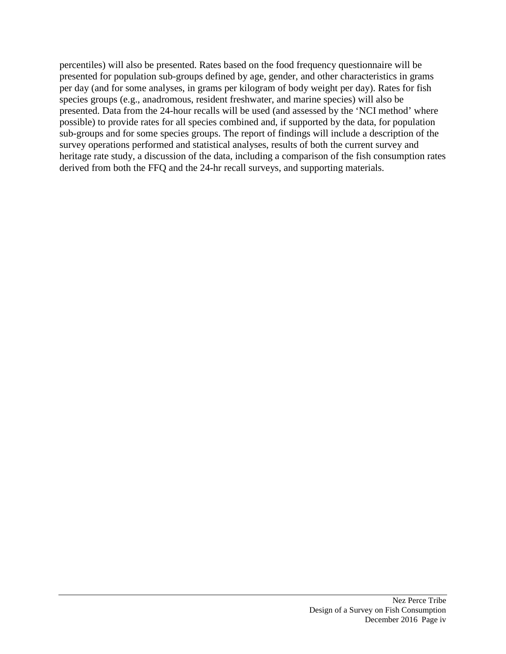percentiles) will also be presented. Rates based on the food frequency questionnaire will be presented for population sub-groups defined by age, gender, and other characteristics in grams per day (and for some analyses, in grams per kilogram of body weight per day). Rates for fish species groups (e.g., anadromous, resident freshwater, and marine species) will also be presented. Data from the 24-hour recalls will be used (and assessed by the 'NCI method' where possible) to provide rates for all species combined and, if supported by the data, for population sub-groups and for some species groups. The report of findings will include a description of the survey operations performed and statistical analyses, results of both the current survey and heritage rate study, a discussion of the data, including a comparison of the fish consumption rates derived from both the FFQ and the 24-hr recall surveys, and supporting materials.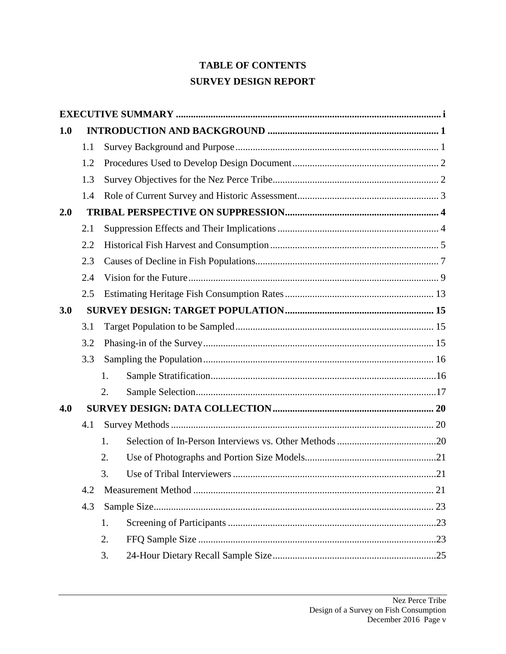# **TABLE OF CONTENTS SURVEY DESIGN REPORT**

| 1.0 |     |    |  |  |  |
|-----|-----|----|--|--|--|
|     | 1.1 |    |  |  |  |
|     | 1.2 |    |  |  |  |
|     | 1.3 |    |  |  |  |
|     | 1.4 |    |  |  |  |
| 2.0 |     |    |  |  |  |
|     | 2.1 |    |  |  |  |
|     | 2.2 |    |  |  |  |
|     | 2.3 |    |  |  |  |
|     | 2.4 |    |  |  |  |
|     | 2.5 |    |  |  |  |
| 3.0 |     |    |  |  |  |
|     | 3.1 |    |  |  |  |
|     | 3.2 |    |  |  |  |
|     | 3.3 |    |  |  |  |
|     |     | 1. |  |  |  |
|     |     | 2. |  |  |  |
| 4.0 |     |    |  |  |  |
|     | 4.1 |    |  |  |  |
|     |     | 1. |  |  |  |
|     |     | 2. |  |  |  |
|     |     | 3. |  |  |  |
|     | 4.2 |    |  |  |  |
|     | 4.3 |    |  |  |  |
|     |     | 1. |  |  |  |
|     |     | 2. |  |  |  |
|     |     | 3. |  |  |  |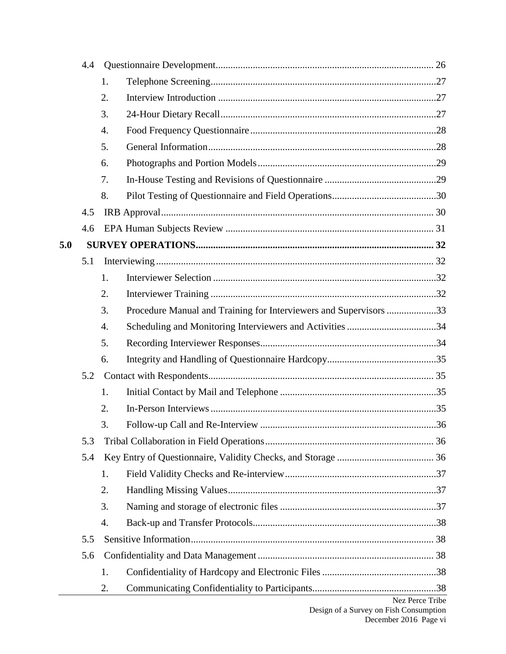|     | 4.4 |    |                                                                   |                 |
|-----|-----|----|-------------------------------------------------------------------|-----------------|
|     |     | 1. |                                                                   |                 |
|     |     | 2. |                                                                   |                 |
|     |     | 3. |                                                                   |                 |
|     |     | 4. |                                                                   |                 |
|     |     |    |                                                                   |                 |
|     |     |    |                                                                   |                 |
|     |     | 7. |                                                                   |                 |
|     |     | 8. |                                                                   |                 |
|     | 4.5 |    |                                                                   |                 |
|     | 4.6 |    |                                                                   |                 |
| 5.0 |     |    |                                                                   |                 |
|     | 5.1 |    |                                                                   |                 |
|     |     | 1. |                                                                   |                 |
|     |     | 2. |                                                                   |                 |
|     |     | 3. | Procedure Manual and Training for Interviewers and Supervisors 33 |                 |
|     |     | 4. |                                                                   |                 |
|     |     | 5. |                                                                   |                 |
|     |     | 6. |                                                                   |                 |
|     | 5.2 |    |                                                                   |                 |
|     |     | 1. |                                                                   |                 |
|     |     | 2. |                                                                   |                 |
|     |     | 3. |                                                                   |                 |
|     | 5.3 |    |                                                                   |                 |
|     | 5.4 |    |                                                                   |                 |
|     |     | 1. |                                                                   |                 |
|     |     | 2. |                                                                   |                 |
|     |     | 3. |                                                                   |                 |
|     |     | 4. |                                                                   |                 |
|     | 5.5 |    |                                                                   |                 |
|     | 5.6 |    |                                                                   |                 |
|     |     | 1. |                                                                   |                 |
|     |     | 2. |                                                                   |                 |
|     |     |    |                                                                   | Nez Perce Tribe |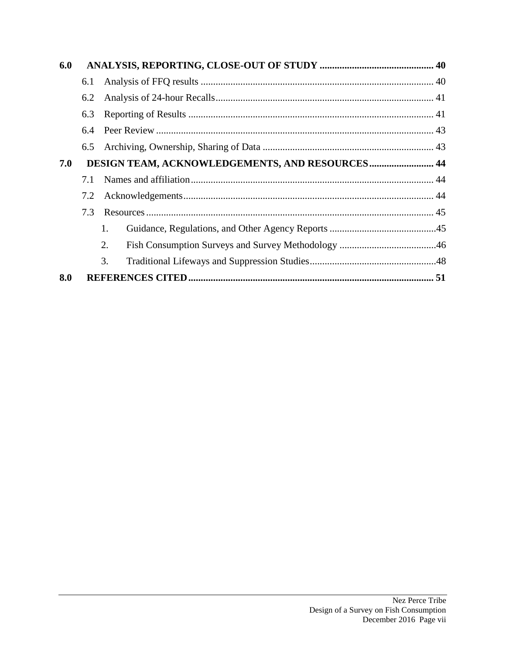| 6.0 |                                                        |    |  |  |  |  |
|-----|--------------------------------------------------------|----|--|--|--|--|
|     | 6.1                                                    |    |  |  |  |  |
|     | 6.2                                                    |    |  |  |  |  |
|     | 6.3                                                    |    |  |  |  |  |
|     | 6.4                                                    |    |  |  |  |  |
|     | 6.5                                                    |    |  |  |  |  |
| 7.0 | <b>DESIGN TEAM, ACKNOWLEDGEMENTS, AND RESOURCES 44</b> |    |  |  |  |  |
|     | 7.1                                                    |    |  |  |  |  |
| 7.2 |                                                        |    |  |  |  |  |
|     | 7.3                                                    |    |  |  |  |  |
|     |                                                        | 1. |  |  |  |  |
|     |                                                        | 2. |  |  |  |  |
|     |                                                        | 3. |  |  |  |  |
| 8.0 |                                                        |    |  |  |  |  |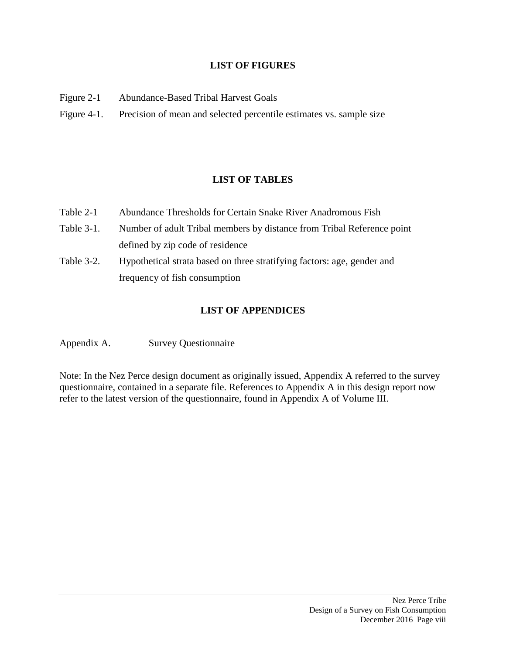#### **LIST OF FIGURES**

- Figure 2-1 Abundance-Based Tribal Harvest Goals
- Figure 4-1. Precision of mean and selected percentile estimates vs. sample size

# **LIST OF TABLES**

- Table 2-1 Abundance Thresholds for Certain Snake River Anadromous Fish
- Table 3-1. Number of adult Tribal members by distance from Tribal Reference point defined by zip code of residence
- Table 3-2. Hypothetical strata based on three stratifying factors: age, gender and frequency of fish consumption

#### **LIST OF APPENDICES**

Appendix A. Survey Questionnaire

Note: In the Nez Perce design document as originally issued, Appendix A referred to the survey questionnaire, contained in a separate file. References to Appendix A in this design report now refer to the latest version of the questionnaire, found in Appendix A of Volume III.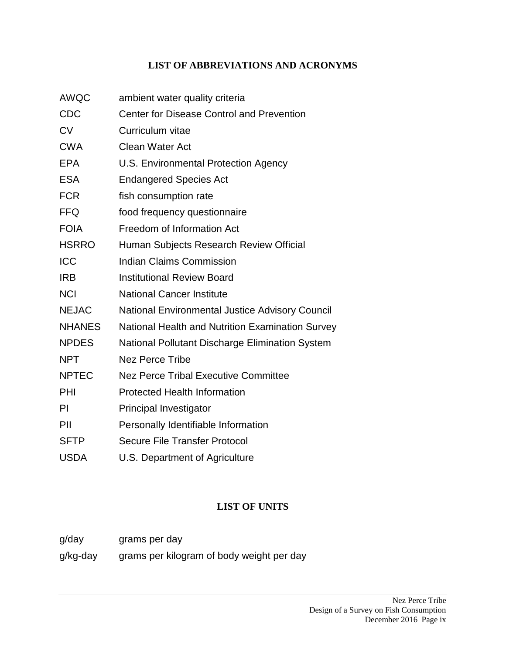#### **LIST OF ABBREVIATIONS AND ACRONYMS**

AWQC ambient water quality criteria CDC Center for Disease Control and Prevention CV Curriculum vitae CWA Clean Water Act EPA U.S. Environmental Protection Agency ESA Endangered Species Act FCR fish consumption rate FFQ food frequency questionnaire FOIA Freedom of Information Act HSRRO Human Subjects Research Review Official **ICC** Indian Claims Commission IRB Institutional Review Board NCI National Cancer Institute NEJAC National Environmental Justice Advisory Council NHANES National Health and Nutrition Examination Survey NPDES National Pollutant Discharge Elimination System NPT Nez Perce Tribe NPTEC Nez Perce Tribal Executive Committee PHI Protected Health Information PI Principal Investigator PII Personally Identifiable Information SFTP Secure File Transfer Protocol USDA U.S. Department of Agriculture

# **LIST OF UNITS**

- g/day grams per day
- g/kg-day grams per kilogram of body weight per day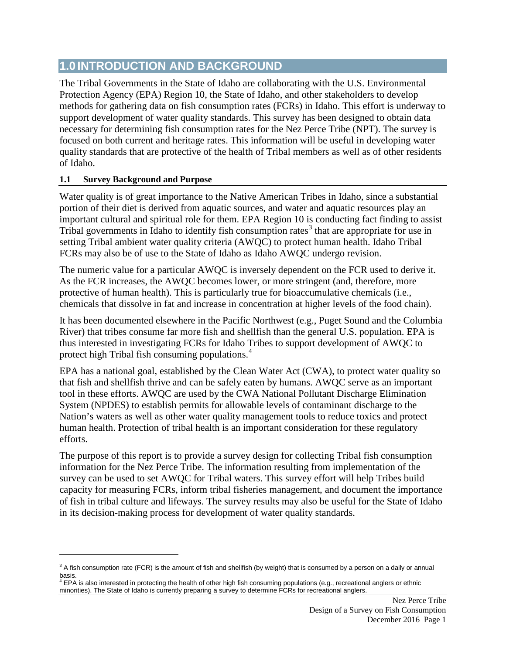# **1.0 INTRODUCTION AND BACKGROUND**

The Tribal Governments in the State of Idaho are collaborating with the U.S. Environmental Protection Agency (EPA) Region 10, the State of Idaho, and other stakeholders to develop methods for gathering data on fish consumption rates (FCRs) in Idaho. This effort is underway to support development of water quality standards. This survey has been designed to obtain data necessary for determining fish consumption rates for the Nez Perce Tribe (NPT). The survey is focused on both current and heritage rates. This information will be useful in developing water quality standards that are protective of the health of Tribal members as well as of other residents of Idaho.

#### **1.1 Survey Background and Purpose**

 $\overline{a}$ 

Water quality is of great importance to the Native American Tribes in Idaho, since a substantial portion of their diet is derived from aquatic sources, and water and aquatic resources play an important cultural and spiritual role for them. EPA Region 10 is conducting fact finding to assist Tribal governments in Idaho to identify fish consumption rates<sup>[3](#page-11-0)</sup> that are appropriate for use in setting Tribal ambient water quality criteria (AWQC) to protect human health. Idaho Tribal FCRs may also be of use to the State of Idaho as Idaho AWQC undergo revision.

The numeric value for a particular AWQC is inversely dependent on the FCR used to derive it. As the FCR increases, the AWQC becomes lower, or more stringent (and, therefore, more protective of human health). This is particularly true for bioaccumulative chemicals (i.e., chemicals that dissolve in fat and increase in concentration at higher levels of the food chain).

It has been documented elsewhere in the Pacific Northwest (e.g., Puget Sound and the Columbia River) that tribes consume far more fish and shellfish than the general U.S. population. EPA is thus interested in investigating FCRs for Idaho Tribes to support development of AWQC to protect high Tribal fish consuming populations.[4](#page-11-1)

EPA has a national goal, established by the Clean Water Act (CWA), to protect water quality so that fish and shellfish thrive and can be safely eaten by humans. AWQC serve as an important tool in these efforts. AWQC are used by the CWA National Pollutant Discharge Elimination System (NPDES) to establish permits for allowable levels of contaminant discharge to the Nation's waters as well as other water quality management tools to reduce toxics and protect human health. Protection of tribal health is an important consideration for these regulatory efforts.

The purpose of this report is to provide a survey design for collecting Tribal fish consumption information for the Nez Perce Tribe. The information resulting from implementation of the survey can be used to set AWQC for Tribal waters. This survey effort will help Tribes build capacity for measuring FCRs, inform tribal fisheries management, and document the importance of fish in tribal culture and lifeways. The survey results may also be useful for the State of Idaho in its decision-making process for development of water quality standards.

<span id="page-11-0"></span> $3$  A fish consumption rate (FCR) is the amount of fish and shellfish (by weight) that is consumed by a person on a daily or annual

<span id="page-11-1"></span>basis.<br><sup>4</sup> EPA is also interested in protecting the health of other high fish consuming populations (e.g., recreational anglers or ethnic minorities). The State of Idaho is currently preparing a survey to determine FCRs for recreational anglers.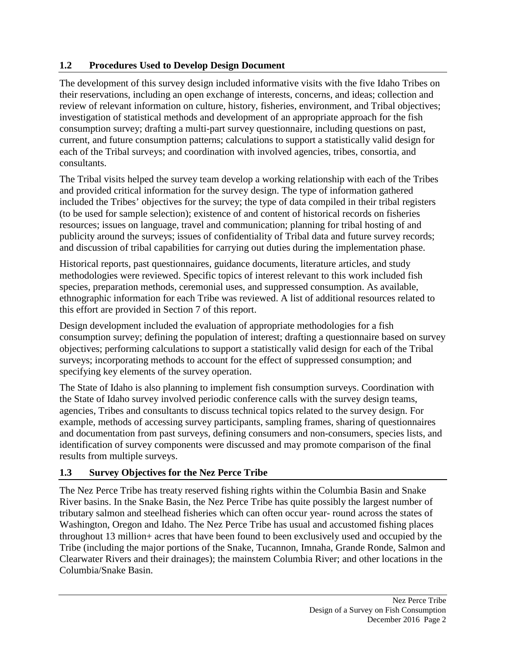#### **1.2 Procedures Used to Develop Design Document**

The development of this survey design included informative visits with the five Idaho Tribes on their reservations, including an open exchange of interests, concerns, and ideas; collection and review of relevant information on culture, history, fisheries, environment, and Tribal objectives; investigation of statistical methods and development of an appropriate approach for the fish consumption survey; drafting a multi-part survey questionnaire, including questions on past, current, and future consumption patterns; calculations to support a statistically valid design for each of the Tribal surveys; and coordination with involved agencies, tribes, consortia, and consultants.

The Tribal visits helped the survey team develop a working relationship with each of the Tribes and provided critical information for the survey design. The type of information gathered included the Tribes' objectives for the survey; the type of data compiled in their tribal registers (to be used for sample selection); existence of and content of historical records on fisheries resources; issues on language, travel and communication; planning for tribal hosting of and publicity around the surveys; issues of confidentiality of Tribal data and future survey records; and discussion of tribal capabilities for carrying out duties during the implementation phase.

Historical reports, past questionnaires, guidance documents, literature articles, and study methodologies were reviewed. Specific topics of interest relevant to this work included fish species, preparation methods, ceremonial uses, and suppressed consumption. As available, ethnographic information for each Tribe was reviewed. A list of additional resources related to this effort are provided in Section 7 of this report.

Design development included the evaluation of appropriate methodologies for a fish consumption survey; defining the population of interest; drafting a questionnaire based on survey objectives; performing calculations to support a statistically valid design for each of the Tribal surveys; incorporating methods to account for the effect of suppressed consumption; and specifying key elements of the survey operation.

The State of Idaho is also planning to implement fish consumption surveys. Coordination with the State of Idaho survey involved periodic conference calls with the survey design teams, agencies, Tribes and consultants to discuss technical topics related to the survey design. For example, methods of accessing survey participants, sampling frames, sharing of questionnaires and documentation from past surveys, defining consumers and non-consumers, species lists, and identification of survey components were discussed and may promote comparison of the final results from multiple surveys.

# **1.3 Survey Objectives for the Nez Perce Tribe**

The Nez Perce Tribe has treaty reserved fishing rights within the Columbia Basin and Snake River basins. In the Snake Basin, the Nez Perce Tribe has quite possibly the largest number of tributary salmon and steelhead fisheries which can often occur year- round across the states of Washington, Oregon and Idaho. The Nez Perce Tribe has usual and accustomed fishing places throughout 13 million+ acres that have been found to been exclusively used and occupied by the Tribe (including the major portions of the Snake, Tucannon, Imnaha, Grande Ronde, Salmon and Clearwater Rivers and their drainages); the mainstem Columbia River; and other locations in the Columbia/Snake Basin.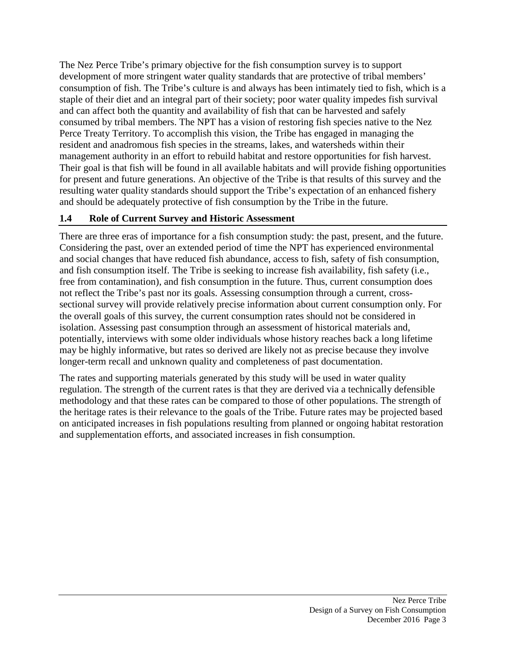The Nez Perce Tribe's primary objective for the fish consumption survey is to support development of more stringent water quality standards that are protective of tribal members' consumption of fish. The Tribe's culture is and always has been intimately tied to fish, which is a staple of their diet and an integral part of their society; poor water quality impedes fish survival and can affect both the quantity and availability of fish that can be harvested and safely consumed by tribal members. The NPT has a vision of restoring fish species native to the Nez Perce Treaty Territory. To accomplish this vision, the Tribe has engaged in managing the resident and anadromous fish species in the streams, lakes, and watersheds within their management authority in an effort to rebuild habitat and restore opportunities for fish harvest. Their goal is that fish will be found in all available habitats and will provide fishing opportunities for present and future generations. An objective of the Tribe is that results of this survey and the resulting water quality standards should support the Tribe's expectation of an enhanced fishery and should be adequately protective of fish consumption by the Tribe in the future.

#### **1.4 Role of Current Survey and Historic Assessment**

There are three eras of importance for a fish consumption study: the past, present, and the future. Considering the past, over an extended period of time the NPT has experienced environmental and social changes that have reduced fish abundance, access to fish, safety of fish consumption, and fish consumption itself. The Tribe is seeking to increase fish availability, fish safety (i.e., free from contamination), and fish consumption in the future. Thus, current consumption does not reflect the Tribe's past nor its goals. Assessing consumption through a current, crosssectional survey will provide relatively precise information about current consumption only. For the overall goals of this survey, the current consumption rates should not be considered in isolation. Assessing past consumption through an assessment of historical materials and, potentially, interviews with some older individuals whose history reaches back a long lifetime may be highly informative, but rates so derived are likely not as precise because they involve longer-term recall and unknown quality and completeness of past documentation.

The rates and supporting materials generated by this study will be used in water quality regulation. The strength of the current rates is that they are derived via a technically defensible methodology and that these rates can be compared to those of other populations. The strength of the heritage rates is their relevance to the goals of the Tribe. Future rates may be projected based on anticipated increases in fish populations resulting from planned or ongoing habitat restoration and supplementation efforts, and associated increases in fish consumption.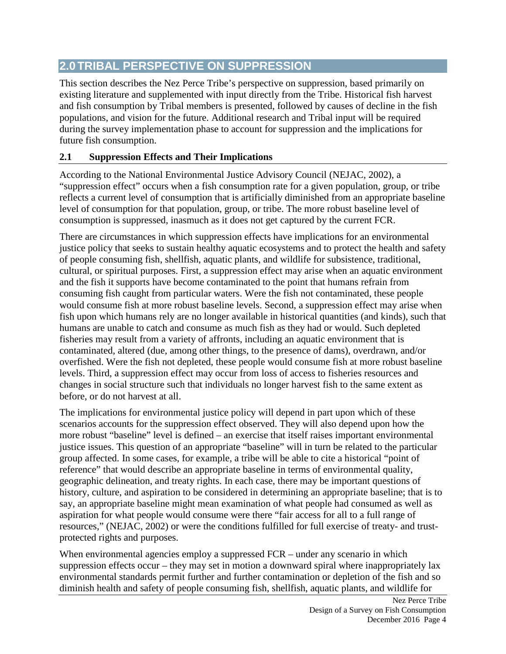# **2.0TRIBAL PERSPECTIVE ON SUPPRESSION**

This section describes the Nez Perce Tribe's perspective on suppression, based primarily on existing literature and supplemented with input directly from the Tribe. Historical fish harvest and fish consumption by Tribal members is presented, followed by causes of decline in the fish populations, and vision for the future. Additional research and Tribal input will be required during the survey implementation phase to account for suppression and the implications for future fish consumption.

# **2.1 Suppression Effects and Their Implications**

According to the National Environmental Justice Advisory Council (NEJAC, 2002), a "suppression effect" occurs when a fish consumption rate for a given population, group, or tribe reflects a current level of consumption that is artificially diminished from an appropriate baseline level of consumption for that population, group, or tribe. The more robust baseline level of consumption is suppressed, inasmuch as it does not get captured by the current FCR.

There are circumstances in which suppression effects have implications for an environmental justice policy that seeks to sustain healthy aquatic ecosystems and to protect the health and safety of people consuming fish, shellfish, aquatic plants, and wildlife for subsistence, traditional, cultural, or spiritual purposes. First, a suppression effect may arise when an aquatic environment and the fish it supports have become contaminated to the point that humans refrain from consuming fish caught from particular waters. Were the fish not contaminated, these people would consume fish at more robust baseline levels. Second, a suppression effect may arise when fish upon which humans rely are no longer available in historical quantities (and kinds), such that humans are unable to catch and consume as much fish as they had or would. Such depleted fisheries may result from a variety of affronts, including an aquatic environment that is contaminated, altered (due, among other things, to the presence of dams), overdrawn, and/or overfished. Were the fish not depleted, these people would consume fish at more robust baseline levels. Third, a suppression effect may occur from loss of access to fisheries resources and changes in social structure such that individuals no longer harvest fish to the same extent as before, or do not harvest at all.

The implications for environmental justice policy will depend in part upon which of these scenarios accounts for the suppression effect observed. They will also depend upon how the more robust "baseline" level is defined – an exercise that itself raises important environmental justice issues. This question of an appropriate "baseline" will in turn be related to the particular group affected. In some cases, for example, a tribe will be able to cite a historical "point of reference" that would describe an appropriate baseline in terms of environmental quality, geographic delineation, and treaty rights. In each case, there may be important questions of history, culture, and aspiration to be considered in determining an appropriate baseline; that is to say, an appropriate baseline might mean examination of what people had consumed as well as aspiration for what people would consume were there "fair access for all to a full range of resources," (NEJAC, 2002) or were the conditions fulfilled for full exercise of treaty- and trustprotected rights and purposes.

When environmental agencies employ a suppressed FCR – under any scenario in which suppression effects occur – they may set in motion a downward spiral where inappropriately lax environmental standards permit further and further contamination or depletion of the fish and so diminish health and safety of people consuming fish, shellfish, aquatic plants, and wildlife for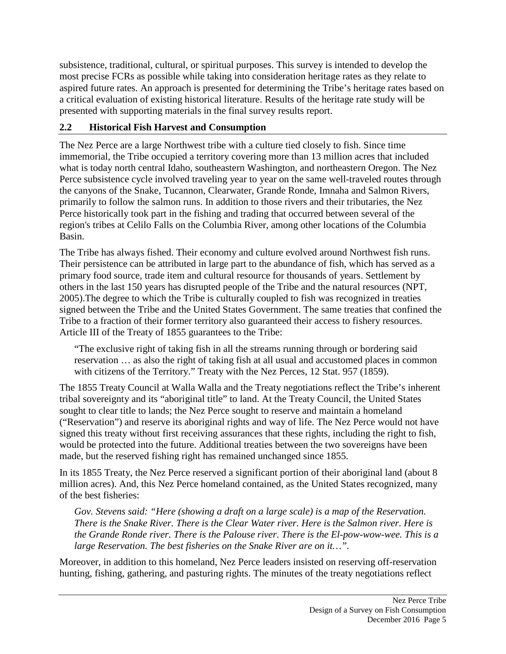subsistence, traditional, cultural, or spiritual purposes. This survey is intended to develop the most precise FCRs as possible while taking into consideration heritage rates as they relate to aspired future rates. An approach is presented for determining the Tribe's heritage rates based on a critical evaluation of existing historical literature. Results of the heritage rate study will be presented with supporting materials in the final survey results report.

# **2.2 Historical Fish Harvest and Consumption**

The Nez Perce are a large Northwest tribe with a culture tied closely to fish. Since time immemorial, the Tribe occupied a territory covering more than 13 million acres that included what is today north central Idaho, southeastern Washington, and northeastern Oregon. The Nez Perce subsistence cycle involved traveling year to year on the same well-traveled routes through the canyons of the Snake, Tucannon, Clearwater, Grande Ronde, Imnaha and Salmon Rivers, primarily to follow the salmon runs. In addition to those rivers and their tributaries, the Nez Perce historically took part in the fishing and trading that occurred between several of the region's tribes at Celilo Falls on the Columbia River, among other locations of the Columbia Basin.

The Tribe has always fished. Their economy and culture evolved around Northwest fish runs. Their persistence can be attributed in large part to the abundance of fish, which has served as a primary food source, trade item and cultural resource for thousands of years. Settlement by others in the last 150 years has disrupted people of the Tribe and the natural resources (NPT, 2005).The degree to which the Tribe is culturally coupled to fish was recognized in treaties signed between the Tribe and the United States Government. The same treaties that confined the Tribe to a fraction of their former territory also guaranteed their access to fishery resources. Article III of the Treaty of 1855 guarantees to the Tribe:

"The exclusive right of taking fish in all the streams running through or bordering said reservation … as also the right of taking fish at all usual and accustomed places in common with citizens of the Territory." Treaty with the Nez Perces, 12 Stat. 957 (1859).

The 1855 Treaty Council at Walla Walla and the Treaty negotiations reflect the Tribe's inherent tribal sovereignty and its "aboriginal title" to land. At the Treaty Council, the United States sought to clear title to lands; the Nez Perce sought to reserve and maintain a homeland ("Reservation") and reserve its aboriginal rights and way of life. The Nez Perce would not have signed this treaty without first receiving assurances that these rights, including the right to fish, would be protected into the future. Additional treaties between the two sovereigns have been made, but the reserved fishing right has remained unchanged since 1855.

In its 1855 Treaty, the Nez Perce reserved a significant portion of their aboriginal land (about 8 million acres). And, this Nez Perce homeland contained, as the United States recognized, many of the best fisheries:

*Gov. Stevens said: "Here (showing a draft on a large scale) is a map of the Reservation. There is the Snake River. There is the Clear Water river. Here is the Salmon river. Here is the Grande Ronde river. There is the Palouse river. There is the El-pow-wow-wee. This is a large Reservation. The best fisheries on the Snake River are on it…".*

Moreover, in addition to this homeland, Nez Perce leaders insisted on reserving off-reservation hunting, fishing, gathering, and pasturing rights. The minutes of the treaty negotiations reflect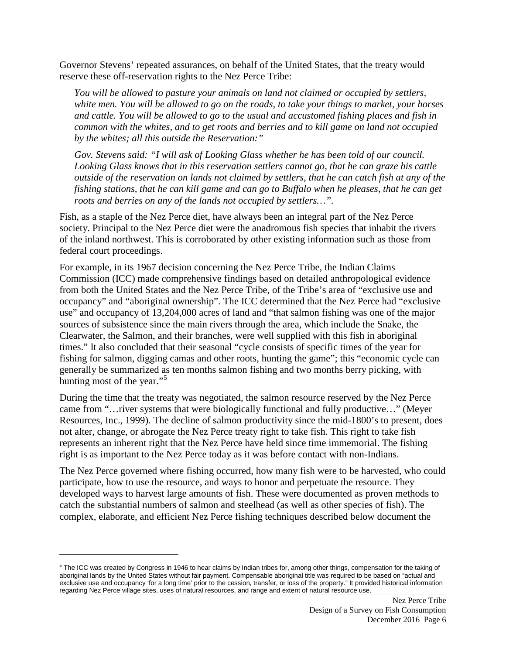Governor Stevens' repeated assurances, on behalf of the United States, that the treaty would reserve these off-reservation rights to the Nez Perce Tribe:

*You will be allowed to pasture your animals on land not claimed or occupied by settlers, white men. You will be allowed to go on the roads, to take your things to market, your horses and cattle. You will be allowed to go to the usual and accustomed fishing places and fish in common with the whites, and to get roots and berries and to kill game on land not occupied by the whites; all this outside the Reservation:"*

*Gov. Stevens said: "I will ask of Looking Glass whether he has been told of our council. Looking Glass knows that in this reservation settlers cannot go, that he can graze his cattle outside of the reservation on lands not claimed by settlers, that he can catch fish at any of the fishing stations, that he can kill game and can go to Buffalo when he pleases, that he can get roots and berries on any of the lands not occupied by settlers…".*

Fish, as a staple of the Nez Perce diet, have always been an integral part of the Nez Perce society. Principal to the Nez Perce diet were the anadromous fish species that inhabit the rivers of the inland northwest. This is corroborated by other existing information such as those from federal court proceedings.

For example, in its 1967 decision concerning the Nez Perce Tribe, the Indian Claims Commission (ICC) made comprehensive findings based on detailed anthropological evidence from both the United States and the Nez Perce Tribe, of the Tribe's area of "exclusive use and occupancy" and "aboriginal ownership". The ICC determined that the Nez Perce had "exclusive use" and occupancy of 13,204,000 acres of land and "that salmon fishing was one of the major sources of subsistence since the main rivers through the area, which include the Snake, the Clearwater, the Salmon, and their branches, were well supplied with this fish in aboriginal times." It also concluded that their seasonal "cycle consists of specific times of the year for fishing for salmon, digging camas and other roots, hunting the game"; this "economic cycle can generally be summarized as ten months salmon fishing and two months berry picking, with hunting most of the year."<sup>[5](#page-16-0)</sup>

During the time that the treaty was negotiated, the salmon resource reserved by the Nez Perce came from "…river systems that were biologically functional and fully productive…" (Meyer Resources, Inc., 1999). The decline of salmon productivity since the mid-1800's to present, does not alter, change, or abrogate the Nez Perce treaty right to take fish. This right to take fish represents an inherent right that the Nez Perce have held since time immemorial. The fishing right is as important to the Nez Perce today as it was before contact with non-Indians.

The Nez Perce governed where fishing occurred, how many fish were to be harvested, who could participate, how to use the resource, and ways to honor and perpetuate the resource. They developed ways to harvest large amounts of fish. These were documented as proven methods to catch the substantial numbers of salmon and steelhead (as well as other species of fish). The complex, elaborate, and efficient Nez Perce fishing techniques described below document the

 $\overline{a}$ 

<span id="page-16-0"></span><sup>&</sup>lt;sup>5</sup> The ICC was created by Congress in 1946 to hear claims by Indian tribes for, among other things, compensation for the taking of aboriginal lands by the United States without fair payment. Compensable aboriginal title was required to be based on "actual and exclusive use and occupancy 'for a long time' prior to the cession, transfer, or loss of the property." It provided historical information regarding Nez Perce village sites, uses of natural resources, and range and extent of natural resource use.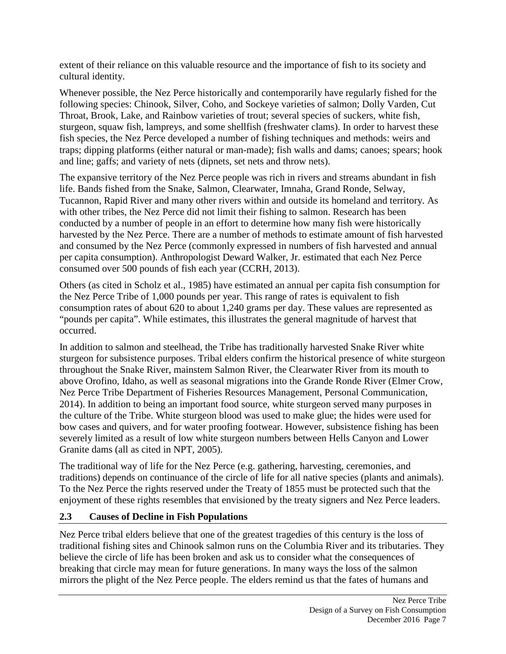extent of their reliance on this valuable resource and the importance of fish to its society and cultural identity.

Whenever possible, the Nez Perce historically and contemporarily have regularly fished for the following species: Chinook, Silver, Coho, and Sockeye varieties of salmon; Dolly Varden, Cut Throat, Brook, Lake, and Rainbow varieties of trout; several species of suckers, white fish, sturgeon, squaw fish, lampreys, and some shellfish (freshwater clams). In order to harvest these fish species, the Nez Perce developed a number of fishing techniques and methods: weirs and traps; dipping platforms (either natural or man-made); fish walls and dams; canoes; spears; hook and line; gaffs; and variety of nets (dipnets, set nets and throw nets).

The expansive territory of the Nez Perce people was rich in rivers and streams abundant in fish life. Bands fished from the Snake, Salmon, Clearwater, Imnaha, Grand Ronde, Selway, Tucannon, Rapid River and many other rivers within and outside its homeland and territory. As with other tribes, the Nez Perce did not limit their fishing to salmon. Research has been conducted by a number of people in an effort to determine how many fish were historically harvested by the Nez Perce. There are a number of methods to estimate amount of fish harvested and consumed by the Nez Perce (commonly expressed in numbers of fish harvested and annual per capita consumption). Anthropologist Deward Walker, Jr. estimated that each Nez Perce consumed over 500 pounds of fish each year (CCRH, 2013).

Others (as cited in Scholz et al., 1985) have estimated an annual per capita fish consumption for the Nez Perce Tribe of 1,000 pounds per year. This range of rates is equivalent to fish consumption rates of about 620 to about 1,240 grams per day. These values are represented as "pounds per capita". While estimates, this illustrates the general magnitude of harvest that occurred.

In addition to salmon and steelhead, the Tribe has traditionally harvested Snake River white sturgeon for subsistence purposes. Tribal elders confirm the historical presence of white sturgeon throughout the Snake River, mainstem Salmon River, the Clearwater River from its mouth to above Orofino, Idaho, as well as seasonal migrations into the Grande Ronde River (Elmer Crow, Nez Perce Tribe Department of Fisheries Resources Management, Personal Communication, 2014). In addition to being an important food source, white sturgeon served many purposes in the culture of the Tribe. White sturgeon blood was used to make glue; the hides were used for bow cases and quivers, and for water proofing footwear. However, subsistence fishing has been severely limited as a result of low white sturgeon numbers between Hells Canyon and Lower Granite dams (all as cited in NPT, 2005).

The traditional way of life for the Nez Perce (e.g. gathering, harvesting, ceremonies, and traditions) depends on continuance of the circle of life for all native species (plants and animals). To the Nez Perce the rights reserved under the Treaty of 1855 must be protected such that the enjoyment of these rights resembles that envisioned by the treaty signers and Nez Perce leaders.

#### **2.3 Causes of Decline in Fish Populations**

Nez Perce tribal elders believe that one of the greatest tragedies of this century is the loss of traditional fishing sites and Chinook salmon runs on the Columbia River and its tributaries. They believe the circle of life has been broken and ask us to consider what the consequences of breaking that circle may mean for future generations. In many ways the loss of the salmon mirrors the plight of the Nez Perce people. The elders remind us that the fates of humans and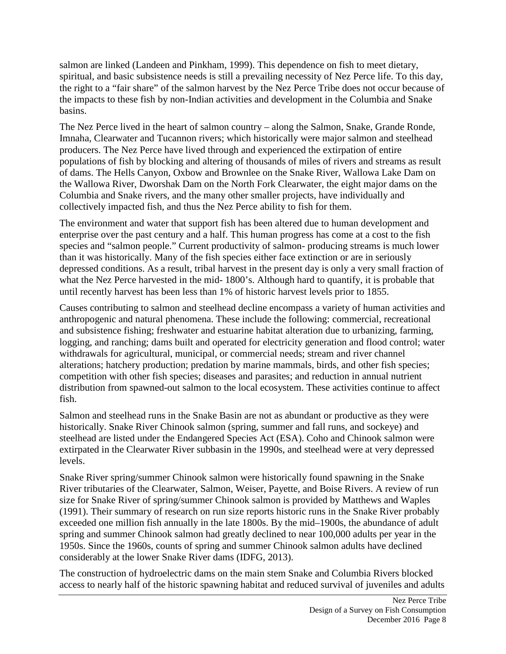salmon are linked (Landeen and Pinkham, 1999). This dependence on fish to meet dietary, spiritual, and basic subsistence needs is still a prevailing necessity of Nez Perce life. To this day, the right to a "fair share" of the salmon harvest by the Nez Perce Tribe does not occur because of the impacts to these fish by non-Indian activities and development in the Columbia and Snake basins.

The Nez Perce lived in the heart of salmon country – along the Salmon, Snake, Grande Ronde, Imnaha, Clearwater and Tucannon rivers; which historically were major salmon and steelhead producers. The Nez Perce have lived through and experienced the extirpation of entire populations of fish by blocking and altering of thousands of miles of rivers and streams as result of dams. The Hells Canyon, Oxbow and Brownlee on the Snake River, Wallowa Lake Dam on the Wallowa River, Dworshak Dam on the North Fork Clearwater, the eight major dams on the Columbia and Snake rivers, and the many other smaller projects, have individually and collectively impacted fish, and thus the Nez Perce ability to fish for them.

The environment and water that support fish has been altered due to human development and enterprise over the past century and a half. This human progress has come at a cost to the fish species and "salmon people." Current productivity of salmon- producing streams is much lower than it was historically. Many of the fish species either face extinction or are in seriously depressed conditions. As a result, tribal harvest in the present day is only a very small fraction of what the Nez Perce harvested in the mid- 1800's. Although hard to quantify, it is probable that until recently harvest has been less than 1% of historic harvest levels prior to 1855.

Causes contributing to salmon and steelhead decline encompass a variety of human activities and anthropogenic and natural phenomena. These include the following: commercial, recreational and subsistence fishing; freshwater and estuarine habitat alteration due to urbanizing, farming, logging, and ranching; dams built and operated for electricity generation and flood control; water withdrawals for agricultural, municipal, or commercial needs; stream and river channel alterations; hatchery production; predation by marine mammals, birds, and other fish species; competition with other fish species; diseases and parasites; and reduction in annual nutrient distribution from spawned-out salmon to the local ecosystem. These activities continue to affect fish.

Salmon and steelhead runs in the Snake Basin are not as abundant or productive as they were historically. Snake River Chinook salmon (spring, summer and fall runs, and sockeye) and steelhead are listed under the Endangered Species Act (ESA). Coho and Chinook salmon were extirpated in the Clearwater River subbasin in the 1990s, and steelhead were at very depressed levels.

Snake River spring/summer Chinook salmon were historically found spawning in the Snake River tributaries of the Clearwater, Salmon, Weiser, Payette, and Boise Rivers. A review of run size for Snake River of spring/summer Chinook salmon is provided by Matthews and Waples (1991). Their summary of research on run size reports historic runs in the Snake River probably exceeded one million fish annually in the late 1800s. By the mid–1900s, the abundance of adult spring and summer Chinook salmon had greatly declined to near 100,000 adults per year in the 1950s. Since the 1960s, counts of spring and summer Chinook salmon adults have declined considerably at the lower Snake River dams (IDFG, 2013).

The construction of hydroelectric dams on the main stem Snake and Columbia Rivers blocked access to nearly half of the historic spawning habitat and reduced survival of juveniles and adults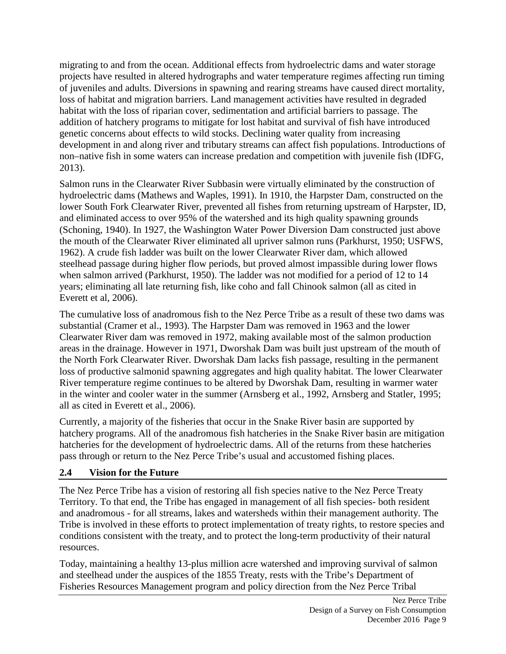migrating to and from the ocean. Additional effects from hydroelectric dams and water storage projects have resulted in altered hydrographs and water temperature regimes affecting run timing of juveniles and adults. Diversions in spawning and rearing streams have caused direct mortality, loss of habitat and migration barriers. Land management activities have resulted in degraded habitat with the loss of riparian cover, sedimentation and artificial barriers to passage. The addition of hatchery programs to mitigate for lost habitat and survival of fish have introduced genetic concerns about effects to wild stocks. Declining water quality from increasing development in and along river and tributary streams can affect fish populations. Introductions of non–native fish in some waters can increase predation and competition with juvenile fish (IDFG, 2013).

Salmon runs in the Clearwater River Subbasin were virtually eliminated by the construction of hydroelectric dams (Mathews and Waples, 1991). In 1910, the Harpster Dam, constructed on the lower South Fork Clearwater River, prevented all fishes from returning upstream of Harpster, ID, and eliminated access to over 95% of the watershed and its high quality spawning grounds (Schoning, 1940). In 1927, the Washington Water Power Diversion Dam constructed just above the mouth of the Clearwater River eliminated all upriver salmon runs (Parkhurst, 1950; USFWS, 1962). A crude fish ladder was built on the lower Clearwater River dam, which allowed steelhead passage during higher flow periods, but proved almost impassible during lower flows when salmon arrived (Parkhurst, 1950). The ladder was not modified for a period of 12 to 14 years; eliminating all late returning fish, like coho and fall Chinook salmon (all as cited in Everett et al, 2006).

The cumulative loss of anadromous fish to the Nez Perce Tribe as a result of these two dams was substantial (Cramer et al., 1993). The Harpster Dam was removed in 1963 and the lower Clearwater River dam was removed in 1972, making available most of the salmon production areas in the drainage. However in 1971, Dworshak Dam was built just upstream of the mouth of the North Fork Clearwater River. Dworshak Dam lacks fish passage, resulting in the permanent loss of productive salmonid spawning aggregates and high quality habitat. The lower Clearwater River temperature regime continues to be altered by Dworshak Dam, resulting in warmer water in the winter and cooler water in the summer (Arnsberg et al., 1992, Arnsberg and Statler, 1995; all as cited in Everett et al., 2006).

Currently, a majority of the fisheries that occur in the Snake River basin are supported by hatchery programs. All of the anadromous fish hatcheries in the Snake River basin are mitigation hatcheries for the development of hydroelectric dams. All of the returns from these hatcheries pass through or return to the Nez Perce Tribe's usual and accustomed fishing places.

#### **2.4 Vision for the Future**

The Nez Perce Tribe has a vision of restoring all fish species native to the Nez Perce Treaty Territory. To that end, the Tribe has engaged in management of all fish species- both resident and anadromous - for all streams, lakes and watersheds within their management authority. The Tribe is involved in these efforts to protect implementation of treaty rights, to restore species and conditions consistent with the treaty, and to protect the long-term productivity of their natural resources.

Today, maintaining a healthy 13-plus million acre watershed and improving survival of salmon and steelhead under the auspices of the 1855 Treaty, rests with the Tribe's Department of Fisheries Resources Management program and policy direction from the Nez Perce Tribal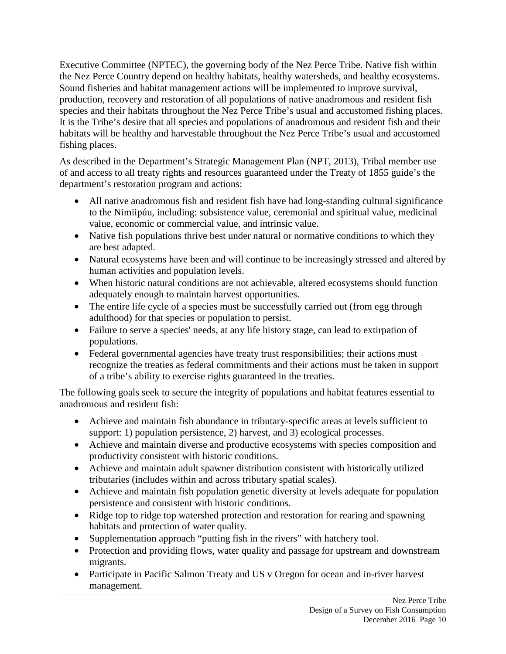Executive Committee (NPTEC), the governing body of the Nez Perce Tribe. Native fish within the Nez Perce Country depend on healthy habitats, healthy watersheds, and healthy ecosystems. Sound fisheries and habitat management actions will be implemented to improve survival, production, recovery and restoration of all populations of native anadromous and resident fish species and their habitats throughout the Nez Perce Tribe's usual and accustomed fishing places. It is the Tribe's desire that all species and populations of anadromous and resident fish and their habitats will be healthy and harvestable throughout the Nez Perce Tribe's usual and accustomed fishing places.

As described in the Department's Strategic Management Plan (NPT, 2013), Tribal member use of and access to all treaty rights and resources guaranteed under the Treaty of 1855 guide's the department's restoration program and actions:

- All native anadromous fish and resident fish have had long-standing cultural significance to the Nimiipúu, including: subsistence value, ceremonial and spiritual value, medicinal value, economic or commercial value, and intrinsic value.
- Native fish populations thrive best under natural or normative conditions to which they are best adapted.
- Natural ecosystems have been and will continue to be increasingly stressed and altered by human activities and population levels.
- When historic natural conditions are not achievable, altered ecosystems should function adequately enough to maintain harvest opportunities.
- The entire life cycle of a species must be successfully carried out (from egg through adulthood) for that species or population to persist.
- Failure to serve a species' needs, at any life history stage, can lead to extirpation of populations.
- Federal governmental agencies have treaty trust responsibilities; their actions must recognize the treaties as federal commitments and their actions must be taken in support of a tribe's ability to exercise rights guaranteed in the treaties.

The following goals seek to secure the integrity of populations and habitat features essential to anadromous and resident fish:

- Achieve and maintain fish abundance in tributary-specific areas at levels sufficient to support: 1) population persistence, 2) harvest, and 3) ecological processes.
- Achieve and maintain diverse and productive ecosystems with species composition and productivity consistent with historic conditions.
- Achieve and maintain adult spawner distribution consistent with historically utilized tributaries (includes within and across tributary spatial scales).
- Achieve and maintain fish population genetic diversity at levels adequate for population persistence and consistent with historic conditions.
- Ridge top to ridge top watershed protection and restoration for rearing and spawning habitats and protection of water quality.
- Supplementation approach "putting fish in the rivers" with hatchery tool.
- Protection and providing flows, water quality and passage for upstream and downstream migrants.
- Participate in Pacific Salmon Treaty and US v Oregon for ocean and in-river harvest management.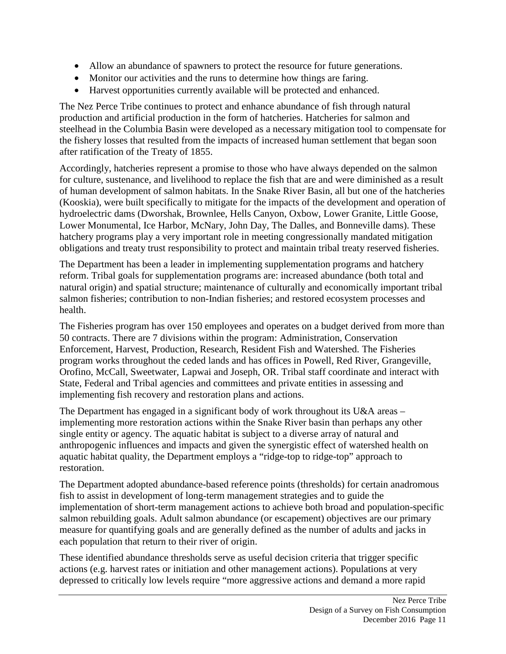- Allow an abundance of spawners to protect the resource for future generations.
- Monitor our activities and the runs to determine how things are faring.
- Harvest opportunities currently available will be protected and enhanced.

The Nez Perce Tribe continues to protect and enhance abundance of fish through natural production and artificial production in the form of hatcheries. Hatcheries for salmon and steelhead in the Columbia Basin were developed as a necessary mitigation tool to compensate for the fishery losses that resulted from the impacts of increased human settlement that began soon after ratification of the Treaty of 1855.

Accordingly, hatcheries represent a promise to those who have always depended on the salmon for culture, sustenance, and livelihood to replace the fish that are and were diminished as a result of human development of salmon habitats. In the Snake River Basin, all but one of the hatcheries (Kooskia), were built specifically to mitigate for the impacts of the development and operation of hydroelectric dams (Dworshak, Brownlee, Hells Canyon, Oxbow, Lower Granite, Little Goose, Lower Monumental, Ice Harbor, McNary, John Day, The Dalles, and Bonneville dams). These hatchery programs play a very important role in meeting congressionally mandated mitigation obligations and treaty trust responsibility to protect and maintain tribal treaty reserved fisheries.

The Department has been a leader in implementing supplementation programs and hatchery reform. Tribal goals for supplementation programs are: increased abundance (both total and natural origin) and spatial structure; maintenance of culturally and economically important tribal salmon fisheries; contribution to non-Indian fisheries; and restored ecosystem processes and health.

The Fisheries program has over 150 employees and operates on a budget derived from more than 50 contracts. There are 7 divisions within the program: Administration, Conservation Enforcement, Harvest, Production, Research, Resident Fish and Watershed. The Fisheries program works throughout the ceded lands and has offices in Powell, Red River, Grangeville, Orofino, McCall, Sweetwater, Lapwai and Joseph, OR. Tribal staff coordinate and interact with State, Federal and Tribal agencies and committees and private entities in assessing and implementing fish recovery and restoration plans and actions.

The Department has engaged in a significant body of work throughout its U&A areas – implementing more restoration actions within the Snake River basin than perhaps any other single entity or agency. The aquatic habitat is subject to a diverse array of natural and anthropogenic influences and impacts and given the synergistic effect of watershed health on aquatic habitat quality, the Department employs a "ridge-top to ridge-top" approach to restoration.

The Department adopted abundance-based reference points (thresholds) for certain anadromous fish to assist in development of long-term management strategies and to guide the implementation of short-term management actions to achieve both broad and population-specific salmon rebuilding goals. Adult salmon abundance (or escapement) objectives are our primary measure for quantifying goals and are generally defined as the number of adults and jacks in each population that return to their river of origin.

These identified abundance thresholds serve as useful decision criteria that trigger specific actions (e.g. harvest rates or initiation and other management actions). Populations at very depressed to critically low levels require "more aggressive actions and demand a more rapid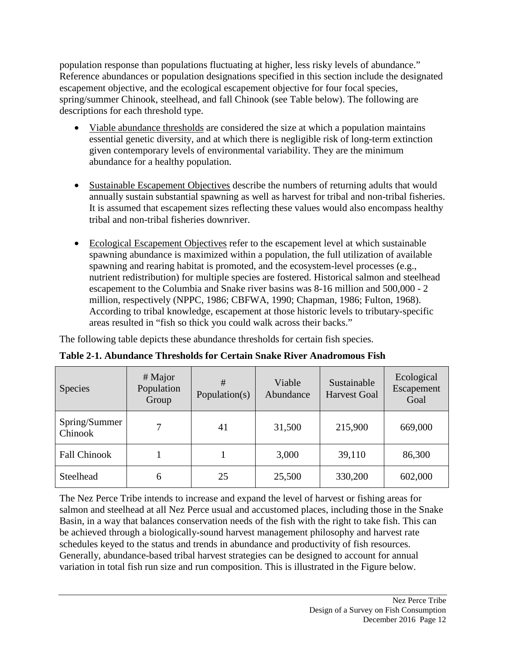population response than populations fluctuating at higher, less risky levels of abundance." Reference abundances or population designations specified in this section include the designated escapement objective, and the ecological escapement objective for four focal species, spring/summer Chinook, steelhead, and fall Chinook (see Table below). The following are descriptions for each threshold type.

- Viable abundance thresholds are considered the size at which a population maintains essential genetic diversity, and at which there is negligible risk of long-term extinction given contemporary levels of environmental variability. They are the minimum abundance for a healthy population.
- Sustainable Escapement Objectives describe the numbers of returning adults that would annually sustain substantial spawning as well as harvest for tribal and non-tribal fisheries. It is assumed that escapement sizes reflecting these values would also encompass healthy tribal and non-tribal fisheries downriver.
- Ecological Escapement Objectives refer to the escapement level at which sustainable spawning abundance is maximized within a population, the full utilization of available spawning and rearing habitat is promoted, and the ecosystem-level processes (e.g., nutrient redistribution) for multiple species are fostered. Historical salmon and steelhead escapement to the Columbia and Snake river basins was 8-16 million and 500,000 - 2 million, respectively (NPPC, 1986; CBFWA, 1990; Chapman, 1986; Fulton, 1968). According to tribal knowledge, escapement at those historic levels to tributary-specific areas resulted in "fish so thick you could walk across their backs."

The following table depicts these abundance thresholds for certain fish species.

| <b>Species</b>           | $#$ Major<br>Population<br>Group | #<br>Population(s) | Viable<br>Abundance | Sustainable<br><b>Harvest Goal</b> | Ecological<br>Escapement<br>Goal |
|--------------------------|----------------------------------|--------------------|---------------------|------------------------------------|----------------------------------|
| Spring/Summer<br>Chinook |                                  | 41                 | 31,500              | 215,900                            | 669,000                          |
| <b>Fall Chinook</b>      |                                  |                    | 3,000               | 39,110                             | 86,300                           |
| Steelhead                | 6                                | 25                 | 25,500              | 330,200                            | 602,000                          |

**Table 2-1. Abundance Thresholds for Certain Snake River Anadromous Fish**

The Nez Perce Tribe intends to increase and expand the level of harvest or fishing areas for salmon and steelhead at all Nez Perce usual and accustomed places, including those in the Snake Basin, in a way that balances conservation needs of the fish with the right to take fish. This can be achieved through a biologically-sound harvest management philosophy and harvest rate schedules keyed to the status and trends in abundance and productivity of fish resources. Generally, abundance-based tribal harvest strategies can be designed to account for annual variation in total fish run size and run composition. This is illustrated in the Figure below.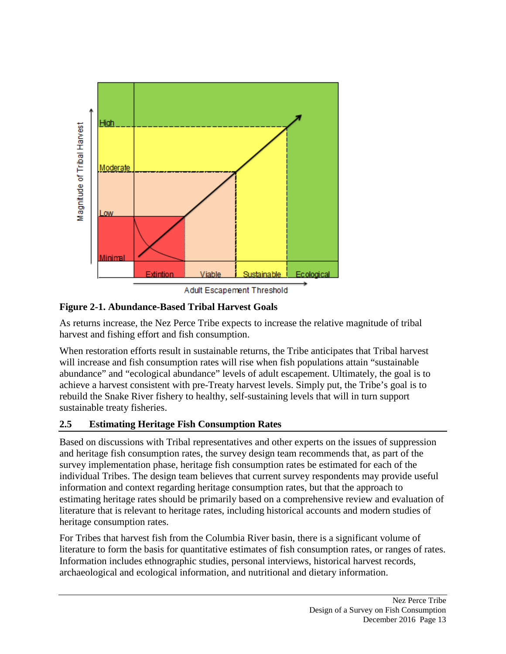

#### **Figure 2-1. Abundance-Based Tribal Harvest Goals**

As returns increase, the Nez Perce Tribe expects to increase the relative magnitude of tribal harvest and fishing effort and fish consumption.

When restoration efforts result in sustainable returns, the Tribe anticipates that Tribal harvest will increase and fish consumption rates will rise when fish populations attain "sustainable" abundance" and "ecological abundance" levels of adult escapement. Ultimately, the goal is to achieve a harvest consistent with pre-Treaty harvest levels. Simply put, the Tribe's goal is to rebuild the Snake River fishery to healthy, self-sustaining levels that will in turn support sustainable treaty fisheries.

# **2.5 Estimating Heritage Fish Consumption Rates**

Based on discussions with Tribal representatives and other experts on the issues of suppression and heritage fish consumption rates, the survey design team recommends that, as part of the survey implementation phase, heritage fish consumption rates be estimated for each of the individual Tribes. The design team believes that current survey respondents may provide useful information and context regarding heritage consumption rates, but that the approach to estimating heritage rates should be primarily based on a comprehensive review and evaluation of literature that is relevant to heritage rates, including historical accounts and modern studies of heritage consumption rates.

For Tribes that harvest fish from the Columbia River basin, there is a significant volume of literature to form the basis for quantitative estimates of fish consumption rates, or ranges of rates. Information includes ethnographic studies, personal interviews, historical harvest records, archaeological and ecological information, and nutritional and dietary information.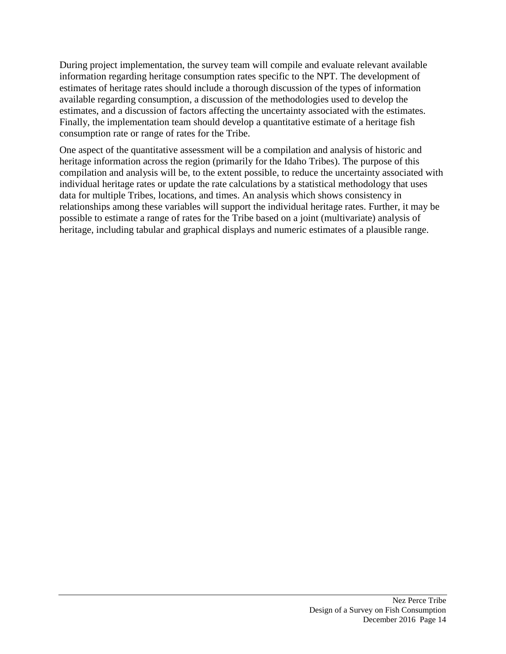During project implementation, the survey team will compile and evaluate relevant available information regarding heritage consumption rates specific to the NPT. The development of estimates of heritage rates should include a thorough discussion of the types of information available regarding consumption, a discussion of the methodologies used to develop the estimates, and a discussion of factors affecting the uncertainty associated with the estimates. Finally, the implementation team should develop a quantitative estimate of a heritage fish consumption rate or range of rates for the Tribe.

One aspect of the quantitative assessment will be a compilation and analysis of historic and heritage information across the region (primarily for the Idaho Tribes). The purpose of this compilation and analysis will be, to the extent possible, to reduce the uncertainty associated with individual heritage rates or update the rate calculations by a statistical methodology that uses data for multiple Tribes, locations, and times. An analysis which shows consistency in relationships among these variables will support the individual heritage rates. Further, it may be possible to estimate a range of rates for the Tribe based on a joint (multivariate) analysis of heritage, including tabular and graphical displays and numeric estimates of a plausible range.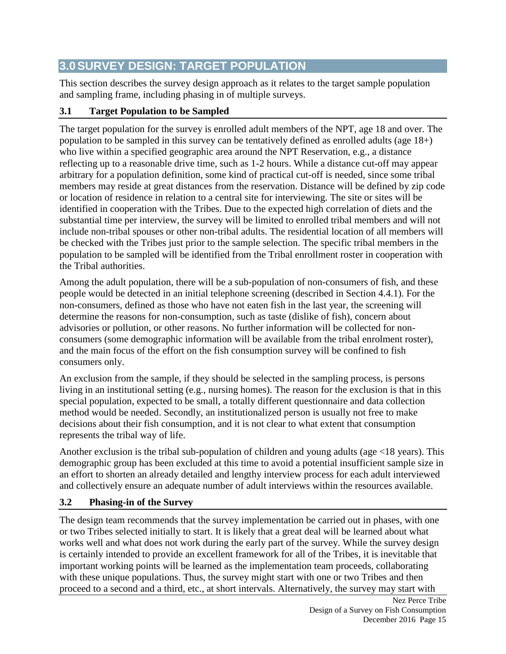# **3.0SURVEY DESIGN: TARGET POPULATION**

This section describes the survey design approach as it relates to the target sample population and sampling frame, including phasing in of multiple surveys.

# **3.1 Target Population to be Sampled**

The target population for the survey is enrolled adult members of the NPT, age 18 and over. The population to be sampled in this survey can be tentatively defined as enrolled adults (age 18+) who live within a specified geographic area around the NPT Reservation, e.g., a distance reflecting up to a reasonable drive time, such as 1-2 hours. While a distance cut-off may appear arbitrary for a population definition, some kind of practical cut-off is needed, since some tribal members may reside at great distances from the reservation. Distance will be defined by zip code or location of residence in relation to a central site for interviewing. The site or sites will be identified in cooperation with the Tribes. Due to the expected high correlation of diets and the substantial time per interview, the survey will be limited to enrolled tribal members and will not include non-tribal spouses or other non-tribal adults. The residential location of all members will be checked with the Tribes just prior to the sample selection. The specific tribal members in the population to be sampled will be identified from the Tribal enrollment roster in cooperation with the Tribal authorities.

Among the adult population, there will be a sub-population of non-consumers of fish, and these people would be detected in an initial telephone screening (described in Section 4.4.1). For the non-consumers, defined as those who have not eaten fish in the last year, the screening will determine the reasons for non-consumption, such as taste (dislike of fish), concern about advisories or pollution, or other reasons. No further information will be collected for nonconsumers (some demographic information will be available from the tribal enrolment roster), and the main focus of the effort on the fish consumption survey will be confined to fish consumers only.

An exclusion from the sample, if they should be selected in the sampling process, is persons living in an institutional setting (e.g., nursing homes). The reason for the exclusion is that in this special population, expected to be small, a totally different questionnaire and data collection method would be needed. Secondly, an institutionalized person is usually not free to make decisions about their fish consumption, and it is not clear to what extent that consumption represents the tribal way of life.

Another exclusion is the tribal sub-population of children and young adults (age <18 years). This demographic group has been excluded at this time to avoid a potential insufficient sample size in an effort to shorten an already detailed and lengthy interview process for each adult interviewed and collectively ensure an adequate number of adult interviews within the resources available.

# **3.2 Phasing-in of the Survey**

The design team recommends that the survey implementation be carried out in phases, with one or two Tribes selected initially to start. It is likely that a great deal will be learned about what works well and what does not work during the early part of the survey. While the survey design is certainly intended to provide an excellent framework for all of the Tribes, it is inevitable that important working points will be learned as the implementation team proceeds, collaborating with these unique populations. Thus, the survey might start with one or two Tribes and then proceed to a second and a third, etc., at short intervals. Alternatively, the survey may start with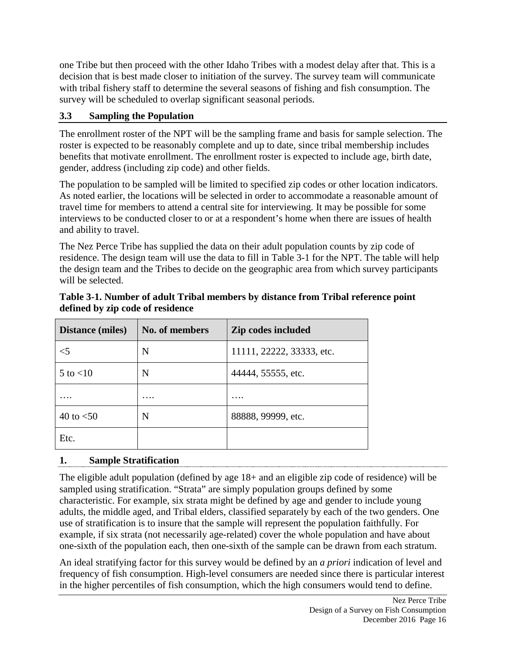one Tribe but then proceed with the other Idaho Tribes with a modest delay after that. This is a decision that is best made closer to initiation of the survey. The survey team will communicate with tribal fishery staff to determine the several seasons of fishing and fish consumption. The survey will be scheduled to overlap significant seasonal periods.

# **3.3 Sampling the Population**

The enrollment roster of the NPT will be the sampling frame and basis for sample selection. The roster is expected to be reasonably complete and up to date, since tribal membership includes benefits that motivate enrollment. The enrollment roster is expected to include age, birth date, gender, address (including zip code) and other fields.

The population to be sampled will be limited to specified zip codes or other location indicators. As noted earlier, the locations will be selected in order to accommodate a reasonable amount of travel time for members to attend a central site for interviewing. It may be possible for some interviews to be conducted closer to or at a respondent's home when there are issues of health and ability to travel.

The Nez Perce Tribe has supplied the data on their adult population counts by zip code of residence. The design team will use the data to fill in Table 3-1 for the NPT. The table will help the design team and the Tribes to decide on the geographic area from which survey participants will be selected.

| <b>Distance (miles)</b> | <b>No. of members</b> | Zip codes included        |
|-------------------------|-----------------------|---------------------------|
| $<$ 5                   | N                     | 11111, 22222, 33333, etc. |
| $5$ to $<$ 10           | N                     | 44444, 55555, etc.        |
|                         | $\cdots$              | $\cdots$                  |
| 40 to $<$ 50            | N                     | 88888, 99999, etc.        |
| Etc.                    |                       |                           |

#### **Table 3-1. Number of adult Tribal members by distance from Tribal reference point defined by zip code of residence**

# **1. Sample Stratification**

The eligible adult population (defined by age 18+ and an eligible zip code of residence) will be sampled using stratification. "Strata" are simply population groups defined by some characteristic. For example, six strata might be defined by age and gender to include young adults, the middle aged, and Tribal elders, classified separately by each of the two genders. One use of stratification is to insure that the sample will represent the population faithfully. For example, if six strata (not necessarily age-related) cover the whole population and have about one-sixth of the population each, then one-sixth of the sample can be drawn from each stratum.

An ideal stratifying factor for this survey would be defined by an *a priori* indication of level and frequency of fish consumption. High-level consumers are needed since there is particular interest in the higher percentiles of fish consumption, which the high consumers would tend to define.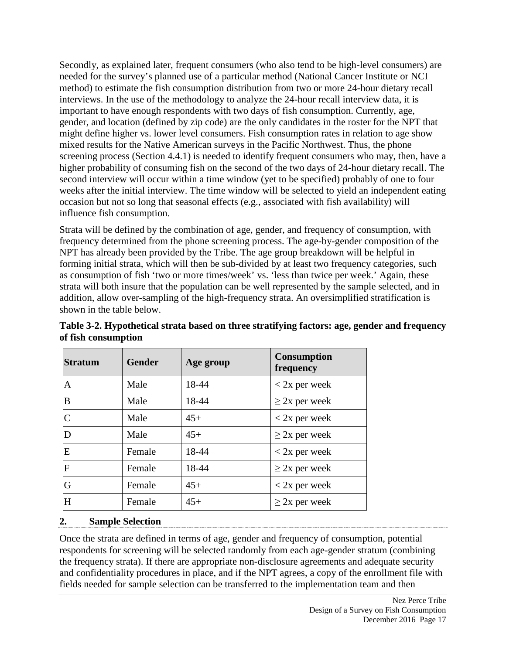Secondly, as explained later, frequent consumers (who also tend to be high-level consumers) are needed for the survey's planned use of a particular method (National Cancer Institute or NCI method) to estimate the fish consumption distribution from two or more 24-hour dietary recall interviews. In the use of the methodology to analyze the 24-hour recall interview data, it is important to have enough respondents with two days of fish consumption. Currently, age, gender, and location (defined by zip code) are the only candidates in the roster for the NPT that might define higher vs. lower level consumers. Fish consumption rates in relation to age show mixed results for the Native American surveys in the Pacific Northwest. Thus, the phone screening process (Section 4.4.1) is needed to identify frequent consumers who may, then, have a higher probability of consuming fish on the second of the two days of 24-hour dietary recall. The second interview will occur within a time window (yet to be specified) probably of one to four weeks after the initial interview. The time window will be selected to yield an independent eating occasion but not so long that seasonal effects (e.g., associated with fish availability) will influence fish consumption.

Strata will be defined by the combination of age, gender, and frequency of consumption, with frequency determined from the phone screening process. The age-by-gender composition of the NPT has already been provided by the Tribe. The age group breakdown will be helpful in forming initial strata, which will then be sub-divided by at least two frequency categories, such as consumption of fish 'two or more times/week' vs. 'less than twice per week.' Again, these strata will both insure that the population can be well represented by the sample selected, and in addition, allow over-sampling of the high-frequency strata. An oversimplified stratification is shown in the table below.

| <b>Stratum</b> | <b>Gender</b> | Age group | <b>Consumption</b><br>frequency |
|----------------|---------------|-----------|---------------------------------|
| A              | Male          | 18-44     | $<$ 2x per week                 |
| B              | Male          | 18-44     | $\geq$ 2x per week              |
| C              | Male          | $45+$     | $<$ 2x per week                 |
| D              | Male          | $45+$     | $\geq$ 2x per week              |
| E              | Female        | 18-44     | $<$ 2x per week                 |
| F              | Female        | 18-44     | $\geq$ 2x per week              |
| G              | Female        | $45+$     | $<$ 2x per week                 |
| H              | Female        | $45+$     | $\geq$ 2x per week              |

**Table 3-2. Hypothetical strata based on three stratifying factors: age, gender and frequency of fish consumption**

#### **2. Sample Selection**

Once the strata are defined in terms of age, gender and frequency of consumption, potential respondents for screening will be selected randomly from each age-gender stratum (combining the frequency strata). If there are appropriate non-disclosure agreements and adequate security and confidentiality procedures in place, and if the NPT agrees, a copy of the enrollment file with fields needed for sample selection can be transferred to the implementation team and then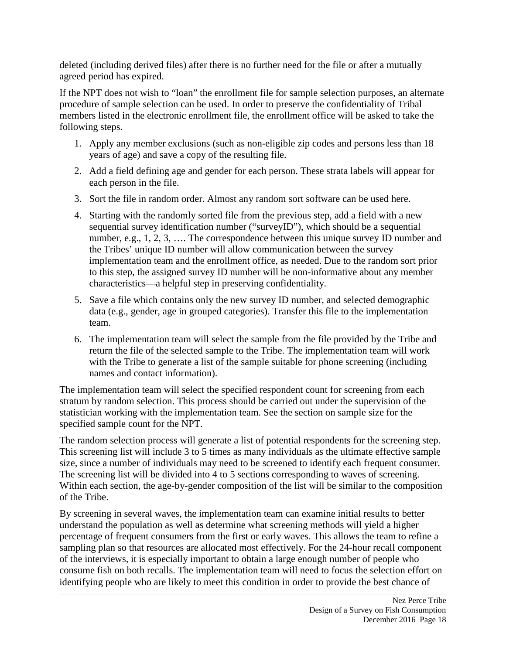deleted (including derived files) after there is no further need for the file or after a mutually agreed period has expired.

If the NPT does not wish to "loan" the enrollment file for sample selection purposes, an alternate procedure of sample selection can be used. In order to preserve the confidentiality of Tribal members listed in the electronic enrollment file, the enrollment office will be asked to take the following steps.

- 1. Apply any member exclusions (such as non-eligible zip codes and persons less than 18 years of age) and save a copy of the resulting file.
- 2. Add a field defining age and gender for each person. These strata labels will appear for each person in the file.
- 3. Sort the file in random order. Almost any random sort software can be used here.
- 4. Starting with the randomly sorted file from the previous step, add a field with a new sequential survey identification number ("surveyID"), which should be a sequential number, e.g., 1, 2, 3, .... The correspondence between this unique survey ID number and the Tribes' unique ID number will allow communication between the survey implementation team and the enrollment office, as needed. Due to the random sort prior to this step, the assigned survey ID number will be non-informative about any member characteristics—a helpful step in preserving confidentiality.
- 5. Save a file which contains only the new survey ID number, and selected demographic data (e.g., gender, age in grouped categories). Transfer this file to the implementation team.
- 6. The implementation team will select the sample from the file provided by the Tribe and return the file of the selected sample to the Tribe. The implementation team will work with the Tribe to generate a list of the sample suitable for phone screening (including names and contact information).

The implementation team will select the specified respondent count for screening from each stratum by random selection. This process should be carried out under the supervision of the statistician working with the implementation team. See the section on sample size for the specified sample count for the NPT.

The random selection process will generate a list of potential respondents for the screening step. This screening list will include 3 to 5 times as many individuals as the ultimate effective sample size, since a number of individuals may need to be screened to identify each frequent consumer. The screening list will be divided into 4 to 5 sections corresponding to waves of screening. Within each section, the age-by-gender composition of the list will be similar to the composition of the Tribe.

By screening in several waves, the implementation team can examine initial results to better understand the population as well as determine what screening methods will yield a higher percentage of frequent consumers from the first or early waves. This allows the team to refine a sampling plan so that resources are allocated most effectively. For the 24-hour recall component of the interviews, it is especially important to obtain a large enough number of people who consume fish on both recalls. The implementation team will need to focus the selection effort on identifying people who are likely to meet this condition in order to provide the best chance of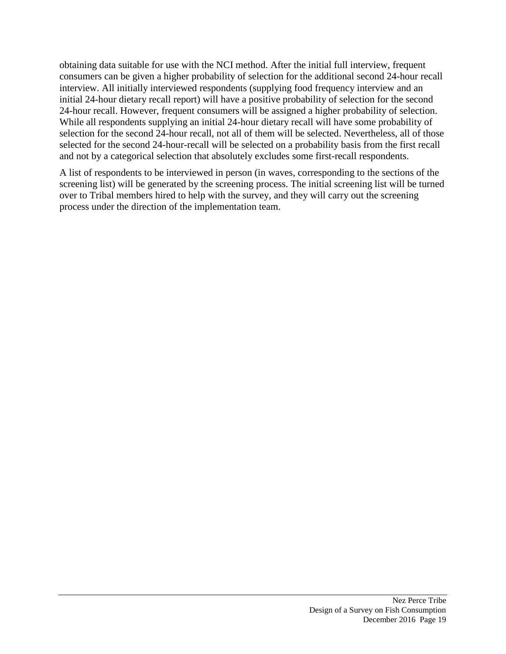obtaining data suitable for use with the NCI method. After the initial full interview, frequent consumers can be given a higher probability of selection for the additional second 24-hour recall interview. All initially interviewed respondents (supplying food frequency interview and an initial 24-hour dietary recall report) will have a positive probability of selection for the second 24-hour recall. However, frequent consumers will be assigned a higher probability of selection. While all respondents supplying an initial 24-hour dietary recall will have some probability of selection for the second 24-hour recall, not all of them will be selected. Nevertheless, all of those selected for the second 24-hour-recall will be selected on a probability basis from the first recall and not by a categorical selection that absolutely excludes some first-recall respondents.

A list of respondents to be interviewed in person (in waves, corresponding to the sections of the screening list) will be generated by the screening process. The initial screening list will be turned over to Tribal members hired to help with the survey, and they will carry out the screening process under the direction of the implementation team.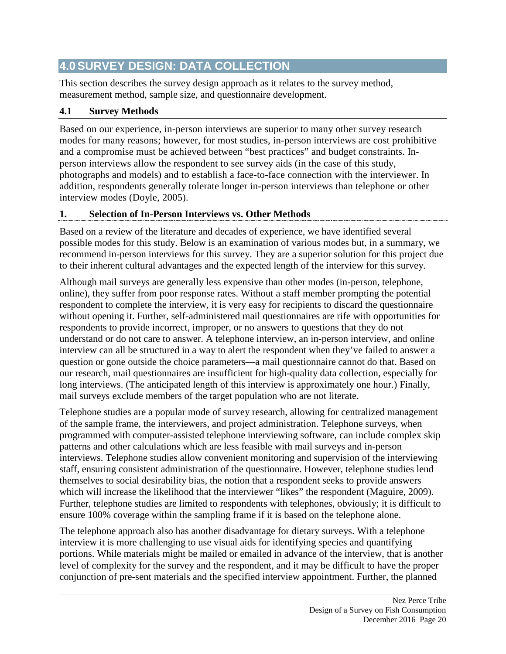# **4.0SURVEY DESIGN: DATA COLLECTION**

This section describes the survey design approach as it relates to the survey method, measurement method, sample size, and questionnaire development.

# **4.1 Survey Methods**

Based on our experience, in-person interviews are superior to many other survey research modes for many reasons; however, for most studies, in-person interviews are cost prohibitive and a compromise must be achieved between "best practices" and budget constraints. Inperson interviews allow the respondent to see survey aids (in the case of this study, photographs and models) and to establish a face-to-face connection with the interviewer. In addition, respondents generally tolerate longer in-person interviews than telephone or other interview modes (Doyle, 2005).

# **1. Selection of In-Person Interviews vs. Other Methods**

Based on a review of the literature and decades of experience, we have identified several possible modes for this study. Below is an examination of various modes but, in a summary, we recommend in-person interviews for this survey. They are a superior solution for this project due to their inherent cultural advantages and the expected length of the interview for this survey.

Although mail surveys are generally less expensive than other modes (in-person, telephone, online), they suffer from poor response rates. Without a staff member prompting the potential respondent to complete the interview, it is very easy for recipients to discard the questionnaire without opening it. Further, self-administered mail questionnaires are rife with opportunities for respondents to provide incorrect, improper, or no answers to questions that they do not understand or do not care to answer. A telephone interview, an in-person interview, and online interview can all be structured in a way to alert the respondent when they've failed to answer a question or gone outside the choice parameters—a mail questionnaire cannot do that. Based on our research, mail questionnaires are insufficient for high-quality data collection, especially for long interviews. (The anticipated length of this interview is approximately one hour.) Finally, mail surveys exclude members of the target population who are not literate.

Telephone studies are a popular mode of survey research, allowing for centralized management of the sample frame, the interviewers, and project administration. Telephone surveys, when programmed with computer-assisted telephone interviewing software, can include complex skip patterns and other calculations which are less feasible with mail surveys and in-person interviews. Telephone studies allow convenient monitoring and supervision of the interviewing staff, ensuring consistent administration of the questionnaire. However, telephone studies lend themselves to social desirability bias, the notion that a respondent seeks to provide answers which will increase the likelihood that the interviewer "likes" the respondent (Maguire, 2009). Further, telephone studies are limited to respondents with telephones, obviously; it is difficult to ensure 100% coverage within the sampling frame if it is based on the telephone alone.

The telephone approach also has another disadvantage for dietary surveys. With a telephone interview it is more challenging to use visual aids for identifying species and quantifying portions. While materials might be mailed or emailed in advance of the interview, that is another level of complexity for the survey and the respondent, and it may be difficult to have the proper conjunction of pre-sent materials and the specified interview appointment. Further, the planned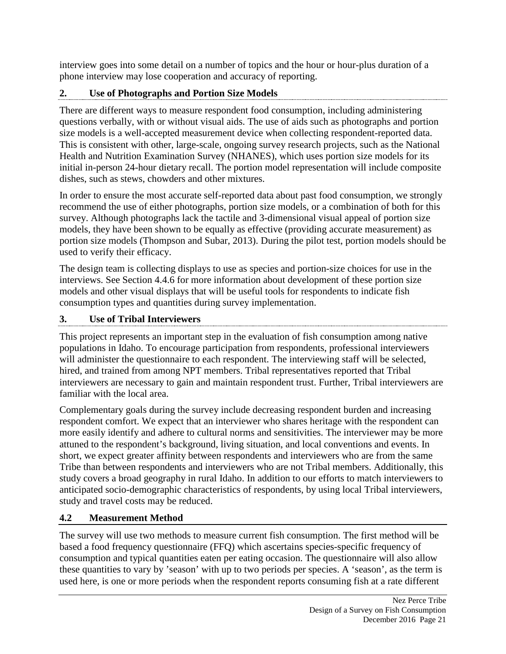interview goes into some detail on a number of topics and the hour or hour-plus duration of a phone interview may lose cooperation and accuracy of reporting.

# **2. Use of Photographs and Portion Size Models**

There are different ways to measure respondent food consumption, including administering questions verbally, with or without visual aids. The use of aids such as photographs and portion size models is a well-accepted measurement device when collecting respondent-reported data. This is consistent with other, large-scale, ongoing survey research projects, such as the National Health and Nutrition Examination Survey (NHANES), which uses portion size models for its initial in-person 24-hour dietary recall. The portion model representation will include composite dishes, such as stews, chowders and other mixtures.

In order to ensure the most accurate self-reported data about past food consumption, we strongly recommend the use of either photographs, portion size models, or a combination of both for this survey. Although photographs lack the tactile and 3-dimensional visual appeal of portion size models, they have been shown to be equally as effective (providing accurate measurement) as portion size models (Thompson and Subar, 2013). During the pilot test, portion models should be used to verify their efficacy.

The design team is collecting displays to use as species and portion-size choices for use in the interviews. See Section 4.4.6 for more information about development of these portion size models and other visual displays that will be useful tools for respondents to indicate fish consumption types and quantities during survey implementation.

# **3. Use of Tribal Interviewers**

This project represents an important step in the evaluation of fish consumption among native populations in Idaho. To encourage participation from respondents, professional interviewers will administer the questionnaire to each respondent. The interviewing staff will be selected, hired, and trained from among NPT members. Tribal representatives reported that Tribal interviewers are necessary to gain and maintain respondent trust. Further, Tribal interviewers are familiar with the local area.

Complementary goals during the survey include decreasing respondent burden and increasing respondent comfort. We expect that an interviewer who shares heritage with the respondent can more easily identify and adhere to cultural norms and sensitivities. The interviewer may be more attuned to the respondent's background, living situation, and local conventions and events. In short, we expect greater affinity between respondents and interviewers who are from the same Tribe than between respondents and interviewers who are not Tribal members. Additionally, this study covers a broad geography in rural Idaho. In addition to our efforts to match interviewers to anticipated socio-demographic characteristics of respondents, by using local Tribal interviewers, study and travel costs may be reduced.

# **4.2 Measurement Method**

The survey will use two methods to measure current fish consumption. The first method will be based a food frequency questionnaire (FFQ) which ascertains species-specific frequency of consumption and typical quantities eaten per eating occasion. The questionnaire will also allow these quantities to vary by 'season' with up to two periods per species. A 'season', as the term is used here, is one or more periods when the respondent reports consuming fish at a rate different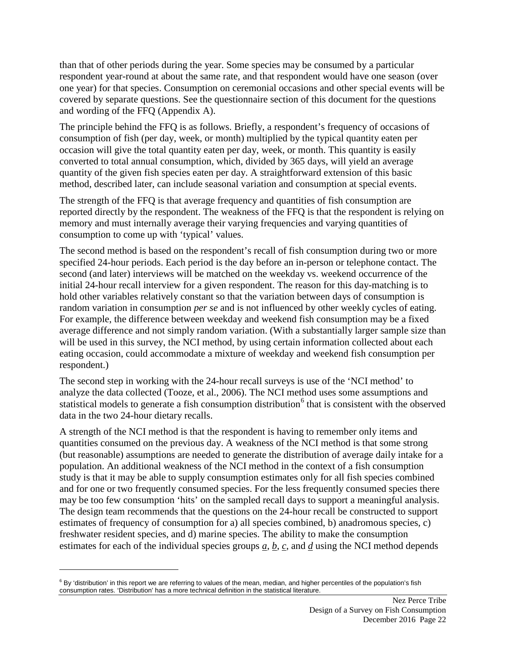than that of other periods during the year. Some species may be consumed by a particular respondent year-round at about the same rate, and that respondent would have one season (over one year) for that species. Consumption on ceremonial occasions and other special events will be covered by separate questions. See the questionnaire section of this document for the questions and wording of the FFQ (Appendix A).

The principle behind the FFQ is as follows. Briefly, a respondent's frequency of occasions of consumption of fish (per day, week, or month) multiplied by the typical quantity eaten per occasion will give the total quantity eaten per day, week, or month. This quantity is easily converted to total annual consumption, which, divided by 365 days, will yield an average quantity of the given fish species eaten per day. A straightforward extension of this basic method, described later, can include seasonal variation and consumption at special events.

The strength of the FFQ is that average frequency and quantities of fish consumption are reported directly by the respondent. The weakness of the FFQ is that the respondent is relying on memory and must internally average their varying frequencies and varying quantities of consumption to come up with 'typical' values.

The second method is based on the respondent's recall of fish consumption during two or more specified 24-hour periods. Each period is the day before an in-person or telephone contact. The second (and later) interviews will be matched on the weekday vs. weekend occurrence of the initial 24-hour recall interview for a given respondent. The reason for this day-matching is to hold other variables relatively constant so that the variation between days of consumption is random variation in consumption *per se* and is not influenced by other weekly cycles of eating. For example, the difference between weekday and weekend fish consumption may be a fixed average difference and not simply random variation. (With a substantially larger sample size than will be used in this survey, the NCI method, by using certain information collected about each eating occasion, could accommodate a mixture of weekday and weekend fish consumption per respondent.)

The second step in working with the 24-hour recall surveys is use of the 'NCI method' to analyze the data collected (Tooze, et al., 2006). The NCI method uses some assumptions and statistical models to generate a fish consumption distribution<sup>[6](#page-32-0)</sup> that is consistent with the observed data in the two 24-hour dietary recalls.

A strength of the NCI method is that the respondent is having to remember only items and quantities consumed on the previous day. A weakness of the NCI method is that some strong (but reasonable) assumptions are needed to generate the distribution of average daily intake for a population. An additional weakness of the NCI method in the context of a fish consumption study is that it may be able to supply consumption estimates only for all fish species combined and for one or two frequently consumed species. For the less frequently consumed species there may be too few consumption 'hits' on the sampled recall days to support a meaningful analysis. The design team recommends that the questions on the 24-hour recall be constructed to support estimates of frequency of consumption for a) all species combined, b) anadromous species, c) freshwater resident species, and d) marine species. The ability to make the consumption estimates for each of the individual species groups *a*, *b*, *c*, and *d* using the NCI method depends

 $\overline{a}$ 

<span id="page-32-0"></span> $6$  By 'distribution' in this report we are referring to values of the mean, median, and higher percentiles of the population's fish consumption rates. 'Distribution' has a more technical definition in the statistical literature.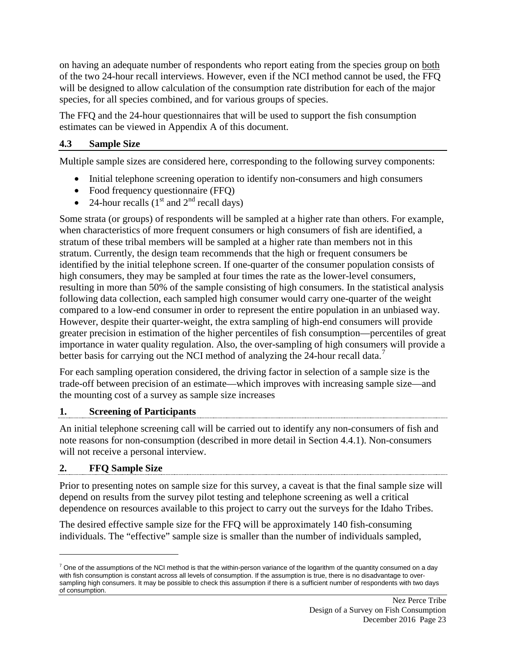on having an adequate number of respondents who report eating from the species group on both of the two 24-hour recall interviews. However, even if the NCI method cannot be used, the FFQ will be designed to allow calculation of the consumption rate distribution for each of the major species, for all species combined, and for various groups of species.

The FFQ and the 24-hour questionnaires that will be used to support the fish consumption estimates can be viewed in Appendix A of this document.

#### **4.3 Sample Size**

Multiple sample sizes are considered here, corresponding to the following survey components:

- Initial telephone screening operation to identify non-consumers and high consumers
- Food frequency questionnaire (FFQ)
- 24-hour recalls  $(1<sup>st</sup>$  and  $2<sup>nd</sup>$  recall days)

Some strata (or groups) of respondents will be sampled at a higher rate than others. For example, when characteristics of more frequent consumers or high consumers of fish are identified, a stratum of these tribal members will be sampled at a higher rate than members not in this stratum. Currently, the design team recommends that the high or frequent consumers be identified by the initial telephone screen. If one-quarter of the consumer population consists of high consumers, they may be sampled at four times the rate as the lower-level consumers, resulting in more than 50% of the sample consisting of high consumers. In the statistical analysis following data collection, each sampled high consumer would carry one-quarter of the weight compared to a low-end consumer in order to represent the entire population in an unbiased way. However, despite their quarter-weight, the extra sampling of high-end consumers will provide greater precision in estimation of the higher percentiles of fish consumption—percentiles of great importance in water quality regulation. Also, the over-sampling of high consumers will provide a better basis for carrying out the NCI method of analyzing the 24-hour recall data.<sup>[7](#page-33-0)</sup>

For each sampling operation considered, the driving factor in selection of a sample size is the trade-off between precision of an estimate—which improves with increasing sample size—and the mounting cost of a survey as sample size increases

#### **1. Screening of Participants**

An initial telephone screening call will be carried out to identify any non-consumers of fish and note reasons for non-consumption (described in more detail in Section 4.4.1). Non-consumers will not receive a personal interview.

# **2. FFQ Sample Size**

 $\overline{a}$ 

Prior to presenting notes on sample size for this survey, a caveat is that the final sample size will depend on results from the survey pilot testing and telephone screening as well a critical dependence on resources available to this project to carry out the surveys for the Idaho Tribes.

The desired effective sample size for the FFQ will be approximately 140 fish-consuming individuals. The "effective" sample size is smaller than the number of individuals sampled,

<span id="page-33-0"></span> $7$  One of the assumptions of the NCI method is that the within-person variance of the logarithm of the quantity consumed on a day with fish consumption is constant across all levels of consumption. If the assumption is true, there is no disadvantage to oversampling high consumers. It may be possible to check this assumption if there is a sufficient number of respondents with two days of consumption.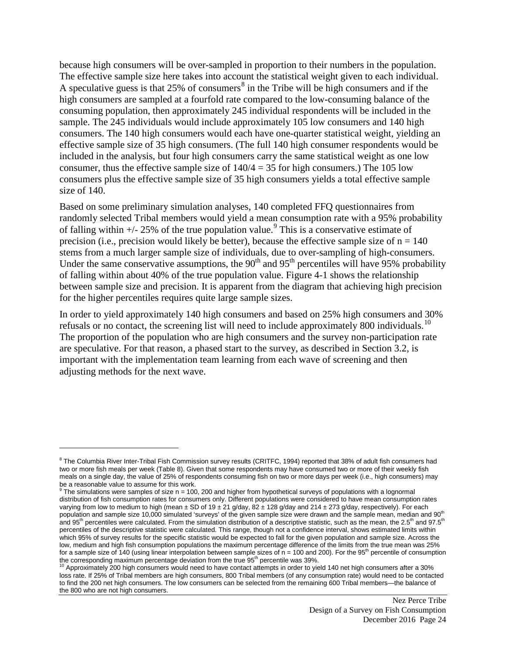because high consumers will be over-sampled in proportion to their numbers in the population. The effective sample size here takes into account the statistical weight given to each individual. A speculative guess is that 25% of consumers<sup>[8](#page-34-0)</sup> in the Tribe will be high consumers and if the high consumers are sampled at a fourfold rate compared to the low-consuming balance of the consuming population, then approximately 245 individual respondents will be included in the sample. The 245 individuals would include approximately 105 low consumers and 140 high consumers. The 140 high consumers would each have one-quarter statistical weight, yielding an effective sample size of 35 high consumers. (The full 140 high consumer respondents would be included in the analysis, but four high consumers carry the same statistical weight as one low consumer, thus the effective sample size of  $140/4 = 35$  for high consumers.) The 105 low consumers plus the effective sample size of 35 high consumers yields a total effective sample size of 140.

Based on some preliminary simulation analyses, 140 completed FFQ questionnaires from randomly selected Tribal members would yield a mean consumption rate with a 95% probability of falling within  $+/$ - 25% of the true population value.<sup>[9](#page-34-1)</sup> This is a conservative estimate of precision (i.e., precision would likely be better), because the effective sample size of  $n = 140$ stems from a much larger sample size of individuals, due to over-sampling of high-consumers. Under the same conservative assumptions, the  $90<sup>th</sup>$  and  $95<sup>th</sup>$  percentiles will have 95% probability of falling within about 40% of the true population value. Figure 4-1 shows the relationship between sample size and precision. It is apparent from the diagram that achieving high precision for the higher percentiles requires quite large sample sizes.

In order to yield approximately 140 high consumers and based on 25% high consumers and 30% refusals or no contact, the screening list will need to include approximately 800 individuals.<sup>[10](#page-34-2)</sup> The proportion of the population who are high consumers and the survey non-participation rate are speculative. For that reason, a phased start to the survey, as described in Section 3.2, is important with the implementation team learning from each wave of screening and then adjusting methods for the next wave.

 $\overline{a}$ 

<span id="page-34-0"></span> $8$  The Columbia River Inter-Tribal Fish Commission survey results (CRITFC, 1994) reported that 38% of adult fish consumers had two or more fish meals per week (Table 8). Given that some respondents may have consumed two or more of their weekly fish meals on a single day, the value of 25% of respondents consuming fish on two or more days per week (i.e., high consumers) may

<span id="page-34-1"></span>be a reasonable value to assume for this work.<br><sup>9</sup> The simulations were samples of size n = 100, 200 and higher from hypothetical surveys of populations with a lognormal distribution of fish consumption rates for consumers only. Different populations were considered to have mean consumption rates varying from low to medium to high (mean ± SD of 19 ± 21 g/day, 82 ± 128 g/day and 214 ± 273 g/day, respectively). For each population and sample size 10,000 simulated 'surveys' of the given sample size were drawn and the sample mean, median and 90<sup>th</sup> and 95<sup>th</sup> percentiles were calculated. From the simulation distribution of a descriptive statistic, such as the mean, the 2.5<sup>th</sup> and 97.5<sup>th</sup> percentiles of the descriptive statistic were calculated. This range, though not a confidence interval, shows estimated limits within which 95% of survey results for the specific statistic would be expected to fall for the given population and sample size. Across the low, medium and high fish consumption populations the maximum percentage difference of the limits from the true mean was 25% for a sample size of 140 (using linear interpolation between sample sizes of  $n = 100$  and 200). For the 95<sup>th</sup> percentile of consumption the corresponding maximum percentage deviation from the true 95<sup>th</sup> percentile was 3

<span id="page-34-2"></span>Approximately 200 high consumers would need to have contact attempts in order to yield 140 net high consumers after a 30% loss rate. If 25% of Tribal members are high consumers, 800 Tribal members (of any consumption rate) would need to be contacted to find the 200 net high consumers. The low consumers can be selected from the remaining 600 Tribal members—the balance of the 800 who are not high consumers.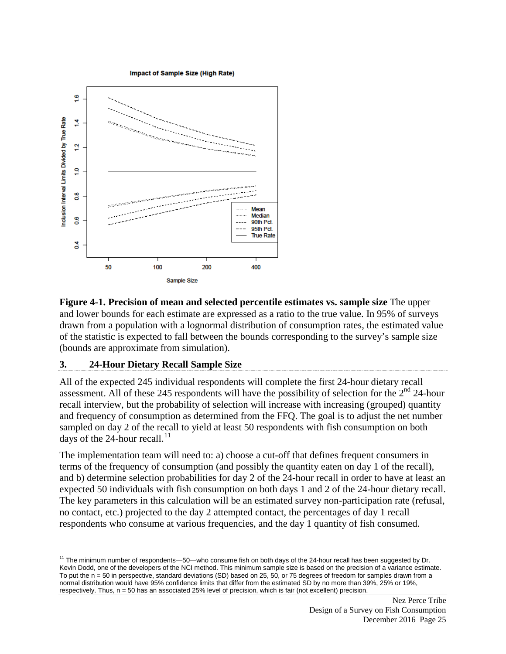Impact of Sample Size (High Rate)



**Figure 4-1. Precision of mean and selected percentile estimates vs. sample size** The upper and lower bounds for each estimate are expressed as a ratio to the true value. In 95% of surveys drawn from a population with a lognormal distribution of consumption rates, the estimated value of the statistic is expected to fall between the bounds corresponding to the survey's sample size (bounds are approximate from simulation).

#### **3. 24-Hour Dietary Recall Sample Size**

 $\overline{a}$ 

All of the expected 245 individual respondents will complete the first 24-hour dietary recall assessment. All of these 245 respondents will have the possibility of selection for the 2<sup>nd</sup> 24-hour recall interview, but the probability of selection will increase with increasing (grouped) quantity and frequency of consumption as determined from the FFQ. The goal is to adjust the net number sampled on day 2 of the recall to yield at least 50 respondents with fish consumption on both days of the 24-hour recall.<sup>[11](#page-35-0)</sup>

The implementation team will need to: a) choose a cut-off that defines frequent consumers in terms of the frequency of consumption (and possibly the quantity eaten on day 1 of the recall), and b) determine selection probabilities for day 2 of the 24-hour recall in order to have at least an expected 50 individuals with fish consumption on both days 1 and 2 of the 24-hour dietary recall. The key parameters in this calculation will be an estimated survey non-participation rate (refusal, no contact, etc.) projected to the day 2 attempted contact, the percentages of day 1 recall respondents who consume at various frequencies, and the day 1 quantity of fish consumed.

<span id="page-35-0"></span> $11$  The minimum number of respondents—50—who consume fish on both days of the 24-hour recall has been suggested by Dr. Kevin Dodd, one of the developers of the NCI method. This minimum sample size is based on the precision of a variance estimate. To put the n = 50 in perspective, standard deviations (SD) based on 25, 50, or 75 degrees of freedom for samples drawn from a normal distribution would have 95% confidence limits that differ from the estimated SD by no more than 39%, 25% or 19%, respectively. Thus, n = 50 has an associated 25% level of precision, which is fair (not excellent) precision.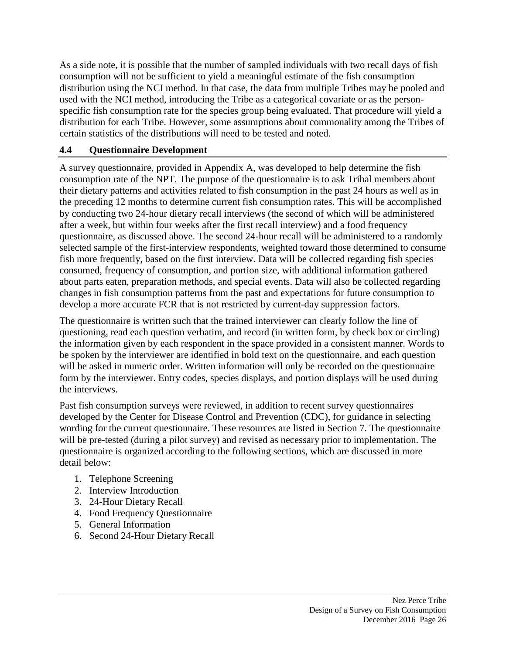As a side note, it is possible that the number of sampled individuals with two recall days of fish consumption will not be sufficient to yield a meaningful estimate of the fish consumption distribution using the NCI method. In that case, the data from multiple Tribes may be pooled and used with the NCI method, introducing the Tribe as a categorical covariate or as the personspecific fish consumption rate for the species group being evaluated. That procedure will yield a distribution for each Tribe. However, some assumptions about commonality among the Tribes of certain statistics of the distributions will need to be tested and noted.

## **4.4 Questionnaire Development**

A survey questionnaire, provided in Appendix A, was developed to help determine the fish consumption rate of the NPT. The purpose of the questionnaire is to ask Tribal members about their dietary patterns and activities related to fish consumption in the past 24 hours as well as in the preceding 12 months to determine current fish consumption rates. This will be accomplished by conducting two 24-hour dietary recall interviews (the second of which will be administered after a week, but within four weeks after the first recall interview) and a food frequency questionnaire, as discussed above. The second 24-hour recall will be administered to a randomly selected sample of the first-interview respondents, weighted toward those determined to consume fish more frequently, based on the first interview. Data will be collected regarding fish species consumed, frequency of consumption, and portion size, with additional information gathered about parts eaten, preparation methods, and special events. Data will also be collected regarding changes in fish consumption patterns from the past and expectations for future consumption to develop a more accurate FCR that is not restricted by current-day suppression factors.

The questionnaire is written such that the trained interviewer can clearly follow the line of questioning, read each question verbatim, and record (in written form, by check box or circling) the information given by each respondent in the space provided in a consistent manner. Words to be spoken by the interviewer are identified in bold text on the questionnaire, and each question will be asked in numeric order. Written information will only be recorded on the questionnaire form by the interviewer. Entry codes, species displays, and portion displays will be used during the interviews.

Past fish consumption surveys were reviewed, in addition to recent survey questionnaires developed by the Center for Disease Control and Prevention (CDC), for guidance in selecting wording for the current questionnaire. These resources are listed in Section 7. The questionnaire will be pre-tested (during a pilot survey) and revised as necessary prior to implementation. The questionnaire is organized according to the following sections, which are discussed in more detail below:

- 1. Telephone Screening
- 2. Interview Introduction
- 3. 24-Hour Dietary Recall
- 4. Food Frequency Questionnaire
- 5. General Information
- 6. Second 24-Hour Dietary Recall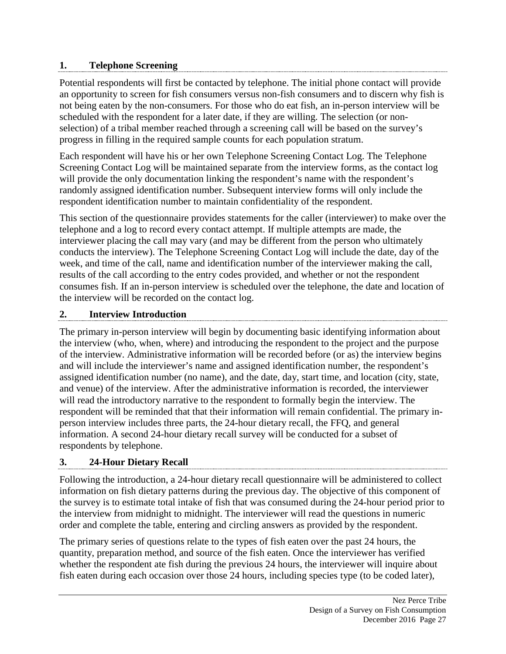#### **1. Telephone Screening**

Potential respondents will first be contacted by telephone. The initial phone contact will provide an opportunity to screen for fish consumers versus non-fish consumers and to discern why fish is not being eaten by the non-consumers. For those who do eat fish, an in-person interview will be scheduled with the respondent for a later date, if they are willing. The selection (or nonselection) of a tribal member reached through a screening call will be based on the survey's progress in filling in the required sample counts for each population stratum.

Each respondent will have his or her own Telephone Screening Contact Log. The Telephone Screening Contact Log will be maintained separate from the interview forms, as the contact log will provide the only documentation linking the respondent's name with the respondent's randomly assigned identification number. Subsequent interview forms will only include the respondent identification number to maintain confidentiality of the respondent.

This section of the questionnaire provides statements for the caller (interviewer) to make over the telephone and a log to record every contact attempt. If multiple attempts are made, the interviewer placing the call may vary (and may be different from the person who ultimately conducts the interview). The Telephone Screening Contact Log will include the date, day of the week, and time of the call, name and identification number of the interviewer making the call, results of the call according to the entry codes provided, and whether or not the respondent consumes fish. If an in-person interview is scheduled over the telephone, the date and location of the interview will be recorded on the contact log.

#### **2. Interview Introduction**

The primary in-person interview will begin by documenting basic identifying information about the interview (who, when, where) and introducing the respondent to the project and the purpose of the interview. Administrative information will be recorded before (or as) the interview begins and will include the interviewer's name and assigned identification number, the respondent's assigned identification number (no name), and the date, day, start time, and location (city, state, and venue) of the interview. After the administrative information is recorded, the interviewer will read the introductory narrative to the respondent to formally begin the interview. The respondent will be reminded that that their information will remain confidential. The primary inperson interview includes three parts, the 24-hour dietary recall, the FFQ, and general information. A second 24-hour dietary recall survey will be conducted for a subset of respondents by telephone.

# **3. 24-Hour Dietary Recall**

Following the introduction, a 24-hour dietary recall questionnaire will be administered to collect information on fish dietary patterns during the previous day. The objective of this component of the survey is to estimate total intake of fish that was consumed during the 24-hour period prior to the interview from midnight to midnight. The interviewer will read the questions in numeric order and complete the table, entering and circling answers as provided by the respondent.

The primary series of questions relate to the types of fish eaten over the past 24 hours, the quantity, preparation method, and source of the fish eaten. Once the interviewer has verified whether the respondent ate fish during the previous 24 hours, the interviewer will inquire about fish eaten during each occasion over those 24 hours, including species type (to be coded later),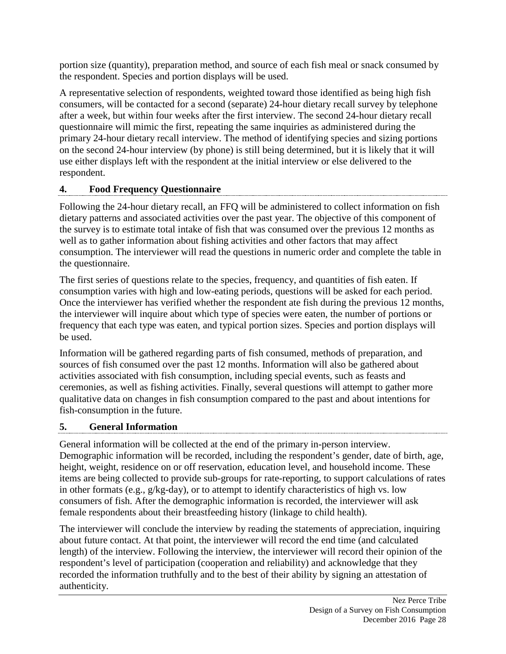portion size (quantity), preparation method, and source of each fish meal or snack consumed by the respondent. Species and portion displays will be used.

A representative selection of respondents, weighted toward those identified as being high fish consumers, will be contacted for a second (separate) 24-hour dietary recall survey by telephone after a week, but within four weeks after the first interview. The second 24-hour dietary recall questionnaire will mimic the first, repeating the same inquiries as administered during the primary 24-hour dietary recall interview. The method of identifying species and sizing portions on the second 24-hour interview (by phone) is still being determined, but it is likely that it will use either displays left with the respondent at the initial interview or else delivered to the respondent.

# **4. Food Frequency Questionnaire**

Following the 24-hour dietary recall, an FFQ will be administered to collect information on fish dietary patterns and associated activities over the past year. The objective of this component of the survey is to estimate total intake of fish that was consumed over the previous 12 months as well as to gather information about fishing activities and other factors that may affect consumption. The interviewer will read the questions in numeric order and complete the table in the questionnaire.

The first series of questions relate to the species, frequency, and quantities of fish eaten. If consumption varies with high and low-eating periods, questions will be asked for each period. Once the interviewer has verified whether the respondent ate fish during the previous 12 months, the interviewer will inquire about which type of species were eaten, the number of portions or frequency that each type was eaten, and typical portion sizes. Species and portion displays will be used.

Information will be gathered regarding parts of fish consumed, methods of preparation, and sources of fish consumed over the past 12 months. Information will also be gathered about activities associated with fish consumption, including special events, such as feasts and ceremonies, as well as fishing activities. Finally, several questions will attempt to gather more qualitative data on changes in fish consumption compared to the past and about intentions for fish-consumption in the future.

# **5. General Information**

General information will be collected at the end of the primary in-person interview. Demographic information will be recorded, including the respondent's gender, date of birth, age, height, weight, residence on or off reservation, education level, and household income. These items are being collected to provide sub-groups for rate-reporting, to support calculations of rates in other formats (e.g., g/kg-day), or to attempt to identify characteristics of high vs. low consumers of fish. After the demographic information is recorded, the interviewer will ask female respondents about their breastfeeding history (linkage to child health).

The interviewer will conclude the interview by reading the statements of appreciation, inquiring about future contact. At that point, the interviewer will record the end time (and calculated length) of the interview. Following the interview, the interviewer will record their opinion of the respondent's level of participation (cooperation and reliability) and acknowledge that they recorded the information truthfully and to the best of their ability by signing an attestation of authenticity.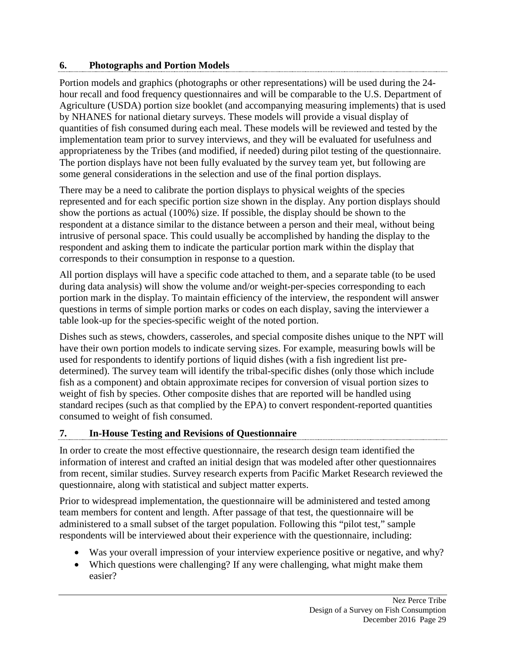#### **6. Photographs and Portion Models**

Portion models and graphics (photographs or other representations) will be used during the 24 hour recall and food frequency questionnaires and will be comparable to the U.S. Department of Agriculture (USDA) portion size booklet (and accompanying measuring implements) that is used by NHANES for national dietary surveys. These models will provide a visual display of quantities of fish consumed during each meal. These models will be reviewed and tested by the implementation team prior to survey interviews, and they will be evaluated for usefulness and appropriateness by the Tribes (and modified, if needed) during pilot testing of the questionnaire. The portion displays have not been fully evaluated by the survey team yet, but following are some general considerations in the selection and use of the final portion displays.

There may be a need to calibrate the portion displays to physical weights of the species represented and for each specific portion size shown in the display. Any portion displays should show the portions as actual (100%) size. If possible, the display should be shown to the respondent at a distance similar to the distance between a person and their meal, without being intrusive of personal space. This could usually be accomplished by handing the display to the respondent and asking them to indicate the particular portion mark within the display that corresponds to their consumption in response to a question.

All portion displays will have a specific code attached to them, and a separate table (to be used during data analysis) will show the volume and/or weight-per-species corresponding to each portion mark in the display. To maintain efficiency of the interview, the respondent will answer questions in terms of simple portion marks or codes on each display, saving the interviewer a table look-up for the species-specific weight of the noted portion.

Dishes such as stews, chowders, casseroles, and special composite dishes unique to the NPT will have their own portion models to indicate serving sizes. For example, measuring bowls will be used for respondents to identify portions of liquid dishes (with a fish ingredient list predetermined). The survey team will identify the tribal-specific dishes (only those which include fish as a component) and obtain approximate recipes for conversion of visual portion sizes to weight of fish by species. Other composite dishes that are reported will be handled using standard recipes (such as that complied by the EPA) to convert respondent-reported quantities consumed to weight of fish consumed.

# **7. In-House Testing and Revisions of Questionnaire**

In order to create the most effective questionnaire, the research design team identified the information of interest and crafted an initial design that was modeled after other questionnaires from recent, similar studies. Survey research experts from Pacific Market Research reviewed the questionnaire, along with statistical and subject matter experts.

Prior to widespread implementation, the questionnaire will be administered and tested among team members for content and length. After passage of that test, the questionnaire will be administered to a small subset of the target population. Following this "pilot test," sample respondents will be interviewed about their experience with the questionnaire, including:

- Was your overall impression of your interview experience positive or negative, and why?
- Which questions were challenging? If any were challenging, what might make them easier?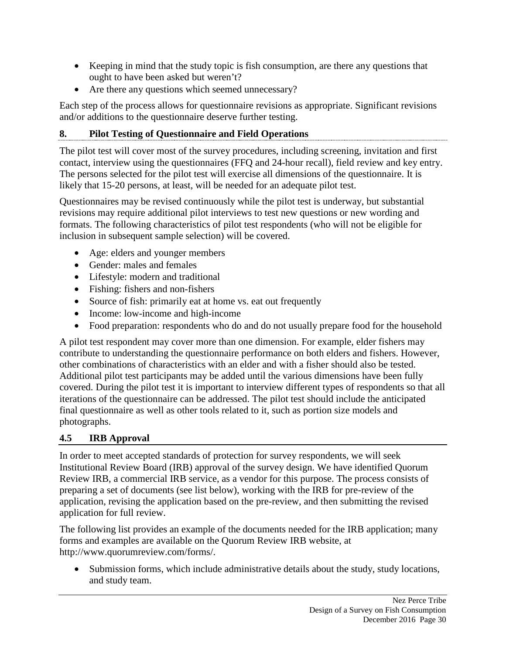- Keeping in mind that the study topic is fish consumption, are there any questions that ought to have been asked but weren't?
- Are there any questions which seemed unnecessary?

Each step of the process allows for questionnaire revisions as appropriate. Significant revisions and/or additions to the questionnaire deserve further testing.

# **8. Pilot Testing of Questionnaire and Field Operations**

The pilot test will cover most of the survey procedures, including screening, invitation and first contact, interview using the questionnaires (FFQ and 24-hour recall), field review and key entry. The persons selected for the pilot test will exercise all dimensions of the questionnaire. It is likely that 15-20 persons, at least, will be needed for an adequate pilot test.

Questionnaires may be revised continuously while the pilot test is underway, but substantial revisions may require additional pilot interviews to test new questions or new wording and formats. The following characteristics of pilot test respondents (who will not be eligible for inclusion in subsequent sample selection) will be covered.

- Age: elders and younger members
- Gender: males and females
- Lifestyle: modern and traditional
- Fishing: fishers and non-fishers
- Source of fish: primarily eat at home vs. eat out frequently
- Income: low-income and high-income
- Food preparation: respondents who do and do not usually prepare food for the household

A pilot test respondent may cover more than one dimension. For example, elder fishers may contribute to understanding the questionnaire performance on both elders and fishers. However, other combinations of characteristics with an elder and with a fisher should also be tested. Additional pilot test participants may be added until the various dimensions have been fully covered. During the pilot test it is important to interview different types of respondents so that all iterations of the questionnaire can be addressed. The pilot test should include the anticipated final questionnaire as well as other tools related to it, such as portion size models and photographs.

# **4.5 IRB Approval**

In order to meet accepted standards of protection for survey respondents, we will seek Institutional Review Board (IRB) approval of the survey design. We have identified Quorum Review IRB, a commercial IRB service, as a vendor for this purpose. The process consists of preparing a set of documents (see list below), working with the IRB for pre-review of the application, revising the application based on the pre-review, and then submitting the revised application for full review.

The following list provides an example of the documents needed for the IRB application; many forms and examples are available on the Quorum Review IRB website, at http://www.quorumreview.com/forms/.

• Submission forms, which include administrative details about the study, study locations, and study team.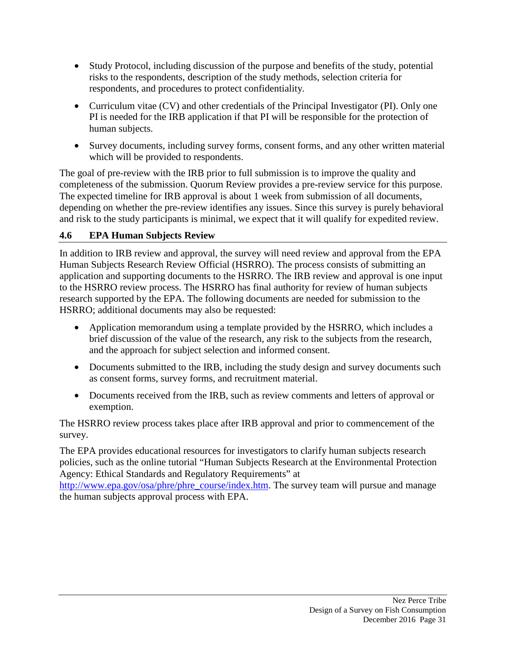- Study Protocol, including discussion of the purpose and benefits of the study, potential risks to the respondents, description of the study methods, selection criteria for respondents, and procedures to protect confidentiality.
- Curriculum vitae (CV) and other credentials of the Principal Investigator (PI). Only one PI is needed for the IRB application if that PI will be responsible for the protection of human subjects.
- Survey documents, including survey forms, consent forms, and any other written material which will be provided to respondents.

The goal of pre-review with the IRB prior to full submission is to improve the quality and completeness of the submission. Quorum Review provides a pre-review service for this purpose. The expected timeline for IRB approval is about 1 week from submission of all documents, depending on whether the pre-review identifies any issues. Since this survey is purely behavioral and risk to the study participants is minimal, we expect that it will qualify for expedited review.

# **4.6 EPA Human Subjects Review**

In addition to IRB review and approval, the survey will need review and approval from the EPA Human Subjects Research Review Official (HSRRO). The process consists of submitting an application and supporting documents to the HSRRO. The IRB review and approval is one input to the HSRRO review process. The HSRRO has final authority for review of human subjects research supported by the EPA. The following documents are needed for submission to the HSRRO; additional documents may also be requested:

- Application memorandum using a template provided by the HSRRO, which includes a brief discussion of the value of the research, any risk to the subjects from the research, and the approach for subject selection and informed consent.
- Documents submitted to the IRB, including the study design and survey documents such as consent forms, survey forms, and recruitment material.
- Documents received from the IRB, such as review comments and letters of approval or exemption.

The HSRRO review process takes place after IRB approval and prior to commencement of the survey.

The EPA provides educational resources for investigators to clarify human subjects research policies, such as the online tutorial "Human Subjects Research at the Environmental Protection Agency: Ethical Standards and Regulatory Requirements" at

[http://www.epa.gov/osa/phre/phre\\_course/index.htm.](http://www.epa.gov/osa/phre/phre_course/index.htm) The survey team will pursue and manage the human subjects approval process with EPA.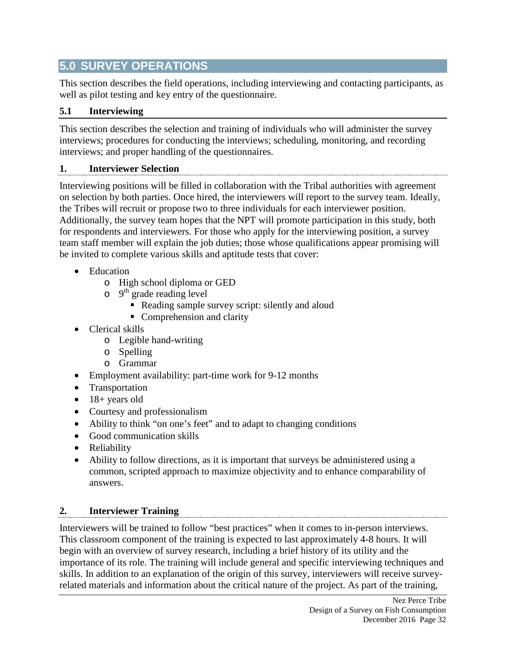# **5.0 SURVEY OPERATIONS**

This section describes the field operations, including interviewing and contacting participants, as well as pilot testing and key entry of the questionnaire.

## **5.1 Interviewing**

This section describes the selection and training of individuals who will administer the survey interviews; procedures for conducting the interviews; scheduling, monitoring, and recording interviews; and proper handling of the questionnaires.

#### **1. Interviewer Selection**

Interviewing positions will be filled in collaboration with the Tribal authorities with agreement on selection by both parties. Once hired, the interviewers will report to the survey team. Ideally, the Tribes will recruit or propose two to three individuals for each interviewer position. Additionally, the survey team hopes that the NPT will promote participation in this study, both for respondents and interviewers. For those who apply for the interviewing position, a survey team staff member will explain the job duties; those whose qualifications appear promising will be invited to complete various skills and aptitude tests that cover:

- Education
	- o High school diploma or GED
	- $\circ$  9<sup>th</sup> grade reading level
		- Reading sample survey script: silently and aloud
		- Comprehension and clarity
- Clerical skills
	- o Legible hand-writing
	- o Spelling
	- o Grammar
- Employment availability: part-time work for 9-12 months
- Transportation
- $\bullet$  18+ years old
- Courtesy and professionalism
- Ability to think "on one's feet" and to adapt to changing conditions
- Good communication skills
- Reliability
- Ability to follow directions, as it is important that surveys be administered using a common, scripted approach to maximize objectivity and to enhance comparability of answers.

#### **2. Interviewer Training**

Interviewers will be trained to follow "best practices" when it comes to in-person interviews. This classroom component of the training is expected to last approximately 4-8 hours. It will begin with an overview of survey research, including a brief history of its utility and the importance of its role. The training will include general and specific interviewing techniques and skills. In addition to an explanation of the origin of this survey, interviewers will receive surveyrelated materials and information about the critical nature of the project. As part of the training,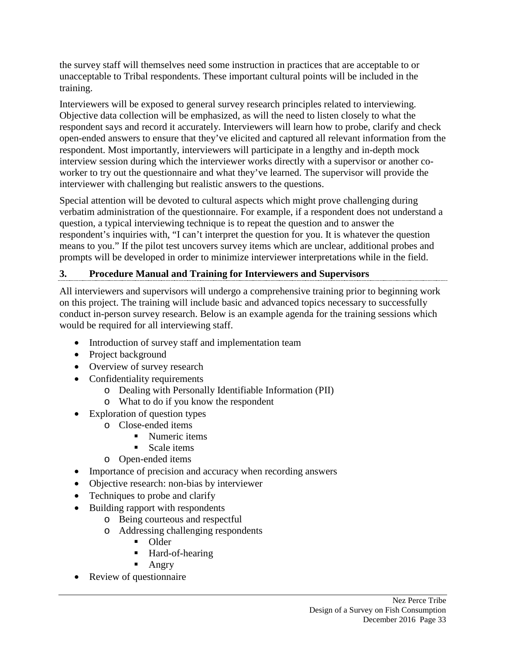the survey staff will themselves need some instruction in practices that are acceptable to or unacceptable to Tribal respondents. These important cultural points will be included in the training.

Interviewers will be exposed to general survey research principles related to interviewing. Objective data collection will be emphasized, as will the need to listen closely to what the respondent says and record it accurately. Interviewers will learn how to probe, clarify and check open-ended answers to ensure that they've elicited and captured all relevant information from the respondent. Most importantly, interviewers will participate in a lengthy and in-depth mock interview session during which the interviewer works directly with a supervisor or another coworker to try out the questionnaire and what they've learned. The supervisor will provide the interviewer with challenging but realistic answers to the questions.

Special attention will be devoted to cultural aspects which might prove challenging during verbatim administration of the questionnaire. For example, if a respondent does not understand a question, a typical interviewing technique is to repeat the question and to answer the respondent's inquiries with, "I can't interpret the question for you. It is whatever the question means to you." If the pilot test uncovers survey items which are unclear, additional probes and prompts will be developed in order to minimize interviewer interpretations while in the field.

# **3. Procedure Manual and Training for Interviewers and Supervisors**

All interviewers and supervisors will undergo a comprehensive training prior to beginning work on this project. The training will include basic and advanced topics necessary to successfully conduct in-person survey research. Below is an example agenda for the training sessions which would be required for all interviewing staff.

- Introduction of survey staff and implementation team
- Project background
- Overview of survey research
- Confidentiality requirements
	- o Dealing with Personally Identifiable Information (PII)
	- o What to do if you know the respondent
- Exploration of question types
	- o Close-ended items
		- Numeric items
		- $Scale$  items
	- o Open-ended items
- Importance of precision and accuracy when recording answers
- Objective research: non-bias by interviewer
- Techniques to probe and clarify
- Building rapport with respondents
	- o Being courteous and respectful
	- o Addressing challenging respondents
		- Older
		- Hard-of-hearing
		- **Angry**
- Review of questionnaire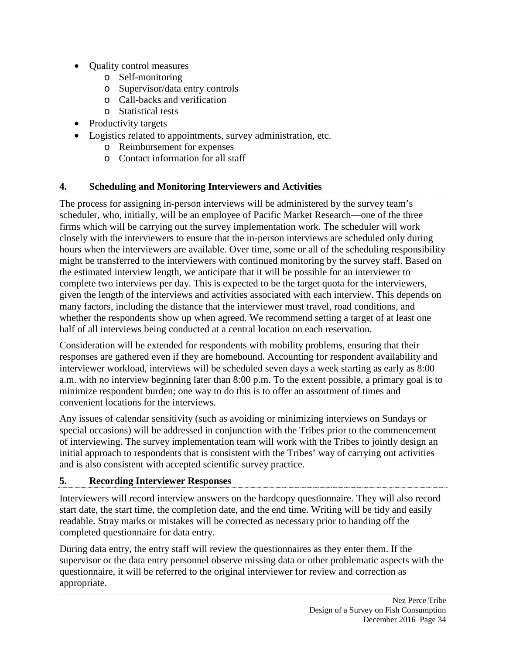- Quality control measures
	- o Self-monitoring
	- o Supervisor/data entry controls
	- o Call-backs and verification
	- o Statistical tests
- Productivity targets
- Logistics related to appointments, survey administration, etc.
	- o Reimbursement for expenses
	- o Contact information for all staff

#### **4. Scheduling and Monitoring Interviewers and Activities**

The process for assigning in-person interviews will be administered by the survey team's scheduler, who, initially, will be an employee of Pacific Market Research—one of the three firms which will be carrying out the survey implementation work. The scheduler will work closely with the interviewers to ensure that the in-person interviews are scheduled only during hours when the interviewers are available. Over time, some or all of the scheduling responsibility might be transferred to the interviewers with continued monitoring by the survey staff. Based on the estimated interview length, we anticipate that it will be possible for an interviewer to complete two interviews per day. This is expected to be the target quota for the interviewers, given the length of the interviews and activities associated with each interview. This depends on many factors, including the distance that the interviewer must travel, road conditions, and whether the respondents show up when agreed. We recommend setting a target of at least one half of all interviews being conducted at a central location on each reservation.

Consideration will be extended for respondents with mobility problems, ensuring that their responses are gathered even if they are homebound. Accounting for respondent availability and interviewer workload, interviews will be scheduled seven days a week starting as early as 8:00 a.m. with no interview beginning later than 8:00 p.m. To the extent possible, a primary goal is to minimize respondent burden; one way to do this is to offer an assortment of times and convenient locations for the interviews.

Any issues of calendar sensitivity (such as avoiding or minimizing interviews on Sundays or special occasions) will be addressed in conjunction with the Tribes prior to the commencement of interviewing. The survey implementation team will work with the Tribes to jointly design an initial approach to respondents that is consistent with the Tribes' way of carrying out activities and is also consistent with accepted scientific survey practice.

#### **5. Recording Interviewer Responses**

Interviewers will record interview answers on the hardcopy questionnaire. They will also record start date, the start time, the completion date, and the end time. Writing will be tidy and easily readable. Stray marks or mistakes will be corrected as necessary prior to handing off the completed questionnaire for data entry.

During data entry, the entry staff will review the questionnaires as they enter them. If the supervisor or the data entry personnel observe missing data or other problematic aspects with the questionnaire, it will be referred to the original interviewer for review and correction as appropriate.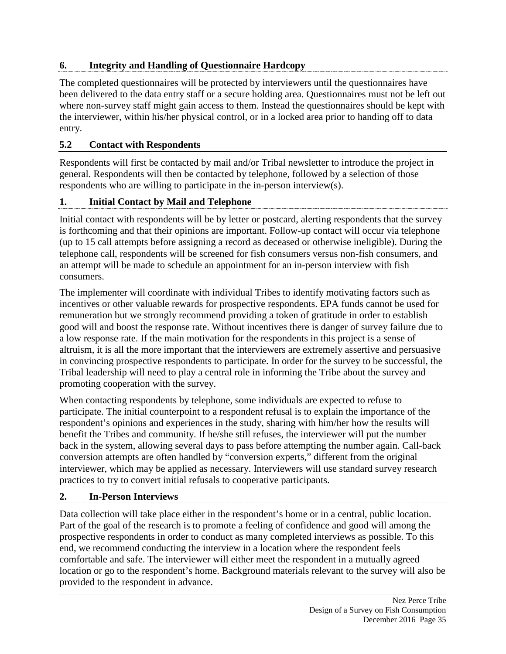#### **6. Integrity and Handling of Questionnaire Hardcopy**

The completed questionnaires will be protected by interviewers until the questionnaires have been delivered to the data entry staff or a secure holding area. Questionnaires must not be left out where non-survey staff might gain access to them. Instead the questionnaires should be kept with the interviewer, within his/her physical control, or in a locked area prior to handing off to data entry.

# **5.2 Contact with Respondents**

Respondents will first be contacted by mail and/or Tribal newsletter to introduce the project in general. Respondents will then be contacted by telephone, followed by a selection of those respondents who are willing to participate in the in-person interview(s).

# **1. Initial Contact by Mail and Telephone**

Initial contact with respondents will be by letter or postcard, alerting respondents that the survey is forthcoming and that their opinions are important. Follow-up contact will occur via telephone (up to 15 call attempts before assigning a record as deceased or otherwise ineligible). During the telephone call, respondents will be screened for fish consumers versus non-fish consumers, and an attempt will be made to schedule an appointment for an in-person interview with fish consumers.

The implementer will coordinate with individual Tribes to identify motivating factors such as incentives or other valuable rewards for prospective respondents. EPA funds cannot be used for remuneration but we strongly recommend providing a token of gratitude in order to establish good will and boost the response rate. Without incentives there is danger of survey failure due to a low response rate. If the main motivation for the respondents in this project is a sense of altruism, it is all the more important that the interviewers are extremely assertive and persuasive in convincing prospective respondents to participate. In order for the survey to be successful, the Tribal leadership will need to play a central role in informing the Tribe about the survey and promoting cooperation with the survey.

When contacting respondents by telephone, some individuals are expected to refuse to participate. The initial counterpoint to a respondent refusal is to explain the importance of the respondent's opinions and experiences in the study, sharing with him/her how the results will benefit the Tribes and community. If he/she still refuses, the interviewer will put the number back in the system, allowing several days to pass before attempting the number again. Call-back conversion attempts are often handled by "conversion experts," different from the original interviewer, which may be applied as necessary. Interviewers will use standard survey research practices to try to convert initial refusals to cooperative participants.

#### **2. In-Person Interviews**

Data collection will take place either in the respondent's home or in a central, public location. Part of the goal of the research is to promote a feeling of confidence and good will among the prospective respondents in order to conduct as many completed interviews as possible. To this end, we recommend conducting the interview in a location where the respondent feels comfortable and safe. The interviewer will either meet the respondent in a mutually agreed location or go to the respondent's home. Background materials relevant to the survey will also be provided to the respondent in advance.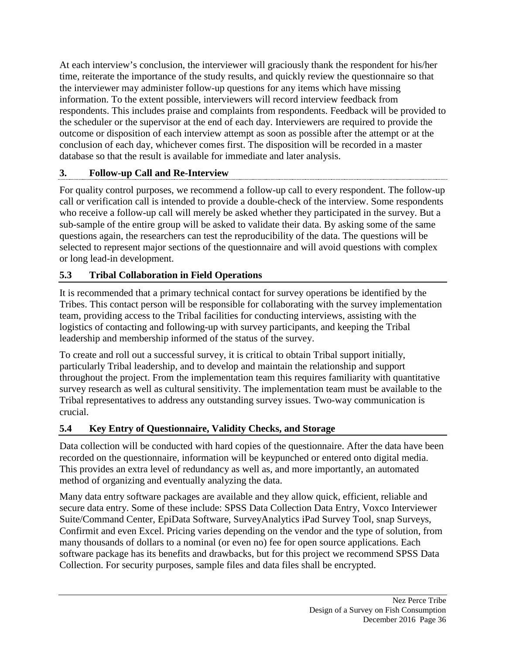At each interview's conclusion, the interviewer will graciously thank the respondent for his/her time, reiterate the importance of the study results, and quickly review the questionnaire so that the interviewer may administer follow-up questions for any items which have missing information. To the extent possible, interviewers will record interview feedback from respondents. This includes praise and complaints from respondents. Feedback will be provided to the scheduler or the supervisor at the end of each day. Interviewers are required to provide the outcome or disposition of each interview attempt as soon as possible after the attempt or at the conclusion of each day, whichever comes first. The disposition will be recorded in a master database so that the result is available for immediate and later analysis.

# **3. Follow-up Call and Re-Interview**

For quality control purposes, we recommend a follow-up call to every respondent. The follow-up call or verification call is intended to provide a double-check of the interview. Some respondents who receive a follow-up call will merely be asked whether they participated in the survey. But a sub-sample of the entire group will be asked to validate their data. By asking some of the same questions again, the researchers can test the reproducibility of the data. The questions will be selected to represent major sections of the questionnaire and will avoid questions with complex or long lead-in development.

# **5.3 Tribal Collaboration in Field Operations**

It is recommended that a primary technical contact for survey operations be identified by the Tribes. This contact person will be responsible for collaborating with the survey implementation team, providing access to the Tribal facilities for conducting interviews, assisting with the logistics of contacting and following-up with survey participants, and keeping the Tribal leadership and membership informed of the status of the survey.

To create and roll out a successful survey, it is critical to obtain Tribal support initially, particularly Tribal leadership, and to develop and maintain the relationship and support throughout the project. From the implementation team this requires familiarity with quantitative survey research as well as cultural sensitivity. The implementation team must be available to the Tribal representatives to address any outstanding survey issues. Two-way communication is crucial.

# **5.4 Key Entry of Questionnaire, Validity Checks, and Storage**

Data collection will be conducted with hard copies of the questionnaire. After the data have been recorded on the questionnaire, information will be keypunched or entered onto digital media. This provides an extra level of redundancy as well as, and more importantly, an automated method of organizing and eventually analyzing the data.

Many data entry software packages are available and they allow quick, efficient, reliable and secure data entry. Some of these include: SPSS Data Collection Data Entry, Voxco Interviewer Suite/Command Center, EpiData Software, SurveyAnalytics iPad Survey Tool, snap Surveys, Confirmit and even Excel. Pricing varies depending on the vendor and the type of solution, from many thousands of dollars to a nominal (or even no) fee for open source applications. Each software package has its benefits and drawbacks, but for this project we recommend SPSS Data Collection. For security purposes, sample files and data files shall be encrypted.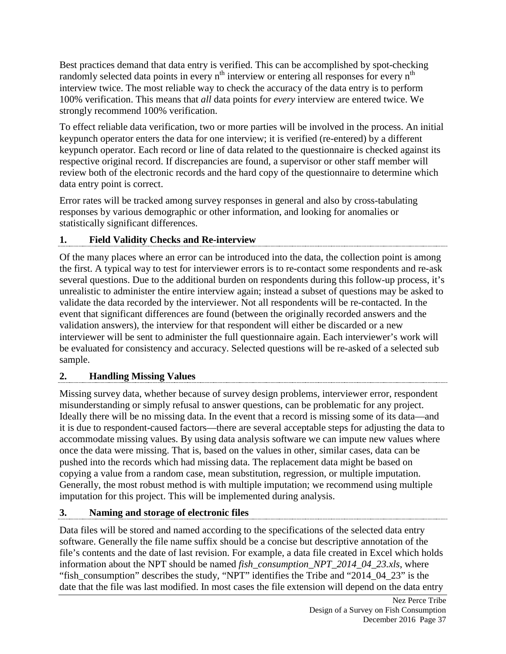Best practices demand that data entry is verified. This can be accomplished by spot-checking randomly selected data points in every  $n<sup>th</sup>$  interview or entering all responses for every  $n<sup>th</sup>$ interview twice. The most reliable way to check the accuracy of the data entry is to perform 100% verification. This means that *all* data points for *every* interview are entered twice. We strongly recommend 100% verification.

To effect reliable data verification, two or more parties will be involved in the process. An initial keypunch operator enters the data for one interview; it is verified (re-entered) by a different keypunch operator. Each record or line of data related to the questionnaire is checked against its respective original record. If discrepancies are found, a supervisor or other staff member will review both of the electronic records and the hard copy of the questionnaire to determine which data entry point is correct.

Error rates will be tracked among survey responses in general and also by cross-tabulating responses by various demographic or other information, and looking for anomalies or statistically significant differences.

# **1. Field Validity Checks and Re-interview**

Of the many places where an error can be introduced into the data, the collection point is among the first. A typical way to test for interviewer errors is to re-contact some respondents and re-ask several questions. Due to the additional burden on respondents during this follow-up process, it's unrealistic to administer the entire interview again; instead a subset of questions may be asked to validate the data recorded by the interviewer. Not all respondents will be re-contacted. In the event that significant differences are found (between the originally recorded answers and the validation answers), the interview for that respondent will either be discarded or a new interviewer will be sent to administer the full questionnaire again. Each interviewer's work will be evaluated for consistency and accuracy. Selected questions will be re-asked of a selected sub sample.

# **2. Handling Missing Values**

Missing survey data, whether because of survey design problems, interviewer error, respondent misunderstanding or simply refusal to answer questions, can be problematic for any project. Ideally there will be no missing data. In the event that a record is missing some of its data—and it is due to respondent-caused factors—there are several acceptable steps for adjusting the data to accommodate missing values. By using data analysis software we can impute new values where once the data were missing. That is, based on the values in other, similar cases, data can be pushed into the records which had missing data. The replacement data might be based on copying a value from a random case, mean substitution, regression, or multiple imputation. Generally, the most robust method is with multiple imputation; we recommend using multiple imputation for this project. This will be implemented during analysis.

# **3. Naming and storage of electronic files**

Data files will be stored and named according to the specifications of the selected data entry software. Generally the file name suffix should be a concise but descriptive annotation of the file's contents and the date of last revision. For example, a data file created in Excel which holds information about the NPT should be named *fish\_consumption\_NPT\_2014\_04\_23.xls*, where "fish\_consumption" describes the study, "NPT" identifies the Tribe and "2014\_04\_23" is the date that the file was last modified. In most cases the file extension will depend on the data entry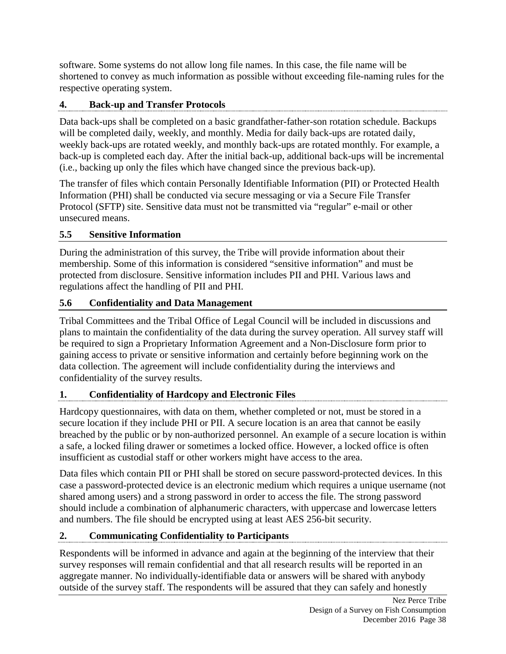software. Some systems do not allow long file names. In this case, the file name will be shortened to convey as much information as possible without exceeding file-naming rules for the respective operating system.

# **4. Back-up and Transfer Protocols**

Data back-ups shall be completed on a basic grandfather-father-son rotation schedule. Backups will be completed daily, weekly, and monthly. Media for daily back-ups are rotated daily, weekly back-ups are rotated weekly, and monthly back-ups are rotated monthly. For example, a back-up is completed each day. After the initial back-up, additional back-ups will be incremental (i.e., backing up only the files which have changed since the previous back-up).

The transfer of files which contain Personally Identifiable Information (PII) or Protected Health Information (PHI) shall be conducted via secure messaging or via a Secure File Transfer Protocol (SFTP) site. Sensitive data must not be transmitted via "regular" e-mail or other unsecured means.

#### **5.5 Sensitive Information**

During the administration of this survey, the Tribe will provide information about their membership. Some of this information is considered "sensitive information" and must be protected from disclosure. Sensitive information includes PII and PHI. Various laws and regulations affect the handling of PII and PHI.

#### **5.6 Confidentiality and Data Management**

Tribal Committees and the Tribal Office of Legal Council will be included in discussions and plans to maintain the confidentiality of the data during the survey operation. All survey staff will be required to sign a Proprietary Information Agreement and a Non-Disclosure form prior to gaining access to private or sensitive information and certainly before beginning work on the data collection. The agreement will include confidentiality during the interviews and confidentiality of the survey results.

#### **1. Confidentiality of Hardcopy and Electronic Files**

Hardcopy questionnaires, with data on them, whether completed or not, must be stored in a secure location if they include PHI or PII. A secure location is an area that cannot be easily breached by the public or by non-authorized personnel. An example of a secure location is within a safe, a locked filing drawer or sometimes a locked office. However, a locked office is often insufficient as custodial staff or other workers might have access to the area.

Data files which contain PII or PHI shall be stored on secure password-protected devices. In this case a password-protected device is an electronic medium which requires a unique username (not shared among users) and a strong password in order to access the file. The strong password should include a combination of alphanumeric characters, with uppercase and lowercase letters and numbers. The file should be encrypted using at least AES 256-bit security.

# **2. Communicating Confidentiality to Participants**

Respondents will be informed in advance and again at the beginning of the interview that their survey responses will remain confidential and that all research results will be reported in an aggregate manner. No individually-identifiable data or answers will be shared with anybody outside of the survey staff. The respondents will be assured that they can safely and honestly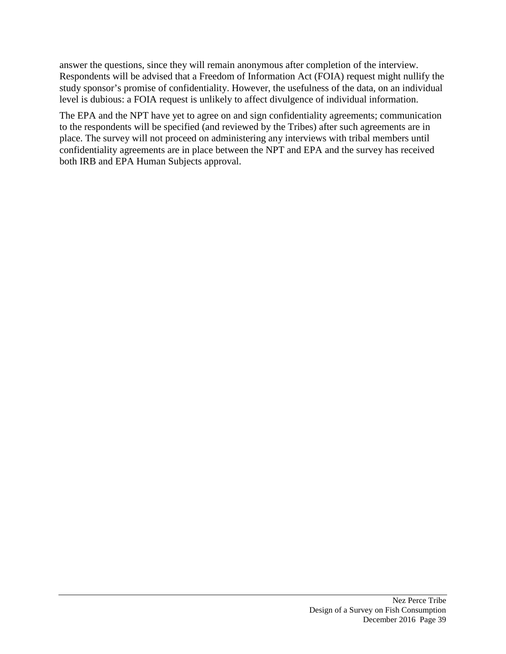answer the questions, since they will remain anonymous after completion of the interview. Respondents will be advised that a Freedom of Information Act (FOIA) request might nullify the study sponsor's promise of confidentiality. However, the usefulness of the data, on an individual level is dubious: a FOIA request is unlikely to affect divulgence of individual information.

The EPA and the NPT have yet to agree on and sign confidentiality agreements; communication to the respondents will be specified (and reviewed by the Tribes) after such agreements are in place. The survey will not proceed on administering any interviews with tribal members until confidentiality agreements are in place between the NPT and EPA and the survey has received both IRB and EPA Human Subjects approval.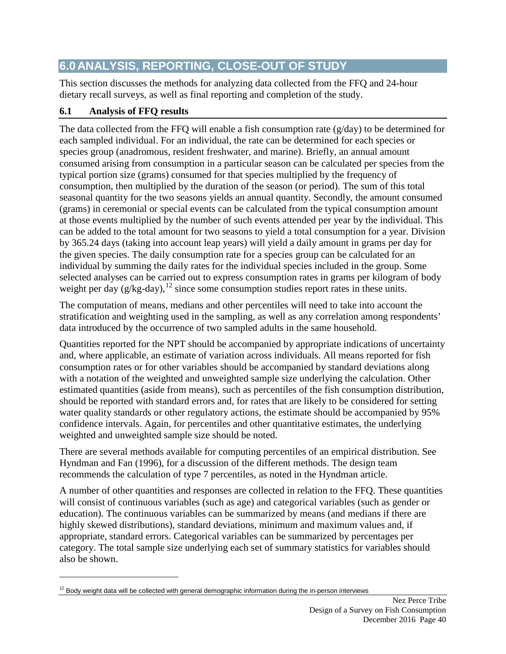# **6.0 ANALYSIS, REPORTING, CLOSE-OUT OF STUDY**

This section discusses the methods for analyzing data collected from the FFQ and 24-hour dietary recall surveys, as well as final reporting and completion of the study.

# **6.1 Analysis of FFQ results**

 $\overline{a}$ 

The data collected from the FFQ will enable a fish consumption rate  $(g/day)$  to be determined for each sampled individual. For an individual, the rate can be determined for each species or species group (anadromous, resident freshwater, and marine). Briefly, an annual amount consumed arising from consumption in a particular season can be calculated per species from the typical portion size (grams) consumed for that species multiplied by the frequency of consumption, then multiplied by the duration of the season (or period). The sum of this total seasonal quantity for the two seasons yields an annual quantity. Secondly, the amount consumed (grams) in ceremonial or special events can be calculated from the typical consumption amount at those events multiplied by the number of such events attended per year by the individual. This can be added to the total amount for two seasons to yield a total consumption for a year. Division by 365.24 days (taking into account leap years) will yield a daily amount in grams per day for the given species. The daily consumption rate for a species group can be calculated for an individual by summing the daily rates for the individual species included in the group. Some selected analyses can be carried out to express consumption rates in grams per kilogram of body weight per day  $(g/kg$ -day),<sup>[12](#page-50-0)</sup> since some consumption studies report rates in these units.

The computation of means, medians and other percentiles will need to take into account the stratification and weighting used in the sampling, as well as any correlation among respondents' data introduced by the occurrence of two sampled adults in the same household.

Quantities reported for the NPT should be accompanied by appropriate indications of uncertainty and, where applicable, an estimate of variation across individuals. All means reported for fish consumption rates or for other variables should be accompanied by standard deviations along with a notation of the weighted and unweighted sample size underlying the calculation. Other estimated quantities (aside from means), such as percentiles of the fish consumption distribution, should be reported with standard errors and, for rates that are likely to be considered for setting water quality standards or other regulatory actions, the estimate should be accompanied by 95% confidence intervals. Again, for percentiles and other quantitative estimates, the underlying weighted and unweighted sample size should be noted.

There are several methods available for computing percentiles of an empirical distribution. See Hyndman and Fan (1996), for a discussion of the different methods. The design team recommends the calculation of type 7 percentiles, as noted in the Hyndman article.

A number of other quantities and responses are collected in relation to the FFQ. These quantities will consist of continuous variables (such as age) and categorical variables (such as gender or education). The continuous variables can be summarized by means (and medians if there are highly skewed distributions), standard deviations, minimum and maximum values and, if appropriate, standard errors. Categorical variables can be summarized by percentages per category. The total sample size underlying each set of summary statistics for variables should also be shown.

<span id="page-50-0"></span> $12$  Body weight data will be collected with general demographic information during the in-person interviews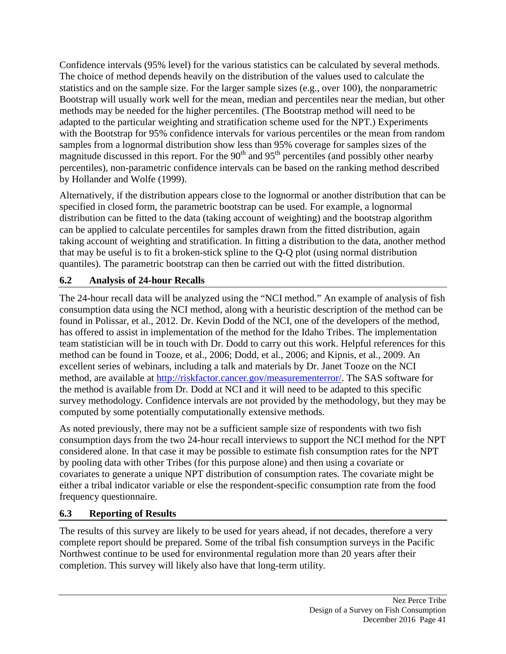Confidence intervals (95% level) for the various statistics can be calculated by several methods. The choice of method depends heavily on the distribution of the values used to calculate the statistics and on the sample size. For the larger sample sizes (e.g., over 100), the nonparametric Bootstrap will usually work well for the mean, median and percentiles near the median, but other methods may be needed for the higher percentiles. (The Bootstrap method will need to be adapted to the particular weighting and stratification scheme used for the NPT.) Experiments with the Bootstrap for 95% confidence intervals for various percentiles or the mean from random samples from a lognormal distribution show less than 95% coverage for samples sizes of the magnitude discussed in this report. For the  $90<sup>th</sup>$  and  $95<sup>th</sup>$  percentiles (and possibly other nearby percentiles), non-parametric confidence intervals can be based on the ranking method described by Hollander and Wolfe (1999).

Alternatively, if the distribution appears close to the lognormal or another distribution that can be specified in closed form, the parametric bootstrap can be used. For example, a lognormal distribution can be fitted to the data (taking account of weighting) and the bootstrap algorithm can be applied to calculate percentiles for samples drawn from the fitted distribution, again taking account of weighting and stratification. In fitting a distribution to the data, another method that may be useful is to fit a broken-stick spline to the Q-Q plot (using normal distribution quantiles). The parametric bootstrap can then be carried out with the fitted distribution.

# **6.2 Analysis of 24-hour Recalls**

The 24-hour recall data will be analyzed using the "NCI method." An example of analysis of fish consumption data using the NCI method, along with a heuristic description of the method can be found in Polissar, et al., 2012. Dr. Kevin Dodd of the NCI, one of the developers of the method, has offered to assist in implementation of the method for the Idaho Tribes. The implementation team statistician will be in touch with Dr. Dodd to carry out this work. Helpful references for this method can be found in Tooze, et al., 2006; Dodd, et al., 2006; and Kipnis, et al., 2009. An excellent series of webinars, including a talk and materials by Dr. Janet Tooze on the NCI method, are available at [http://riskfactor.cancer.gov/measurementerror/.](http://riskfactor.cancer.gov/measurementerror/) The SAS software for the method is available from Dr. Dodd at NCI and it will need to be adapted to this specific survey methodology. Confidence intervals are not provided by the methodology, but they may be computed by some potentially computationally extensive methods.

As noted previously, there may not be a sufficient sample size of respondents with two fish consumption days from the two 24-hour recall interviews to support the NCI method for the NPT considered alone. In that case it may be possible to estimate fish consumption rates for the NPT by pooling data with other Tribes (for this purpose alone) and then using a covariate or covariates to generate a unique NPT distribution of consumption rates. The covariate might be either a tribal indicator variable or else the respondent-specific consumption rate from the food frequency questionnaire.

# **6.3 Reporting of Results**

The results of this survey are likely to be used for years ahead, if not decades, therefore a very complete report should be prepared. Some of the tribal fish consumption surveys in the Pacific Northwest continue to be used for environmental regulation more than 20 years after their completion. This survey will likely also have that long-term utility.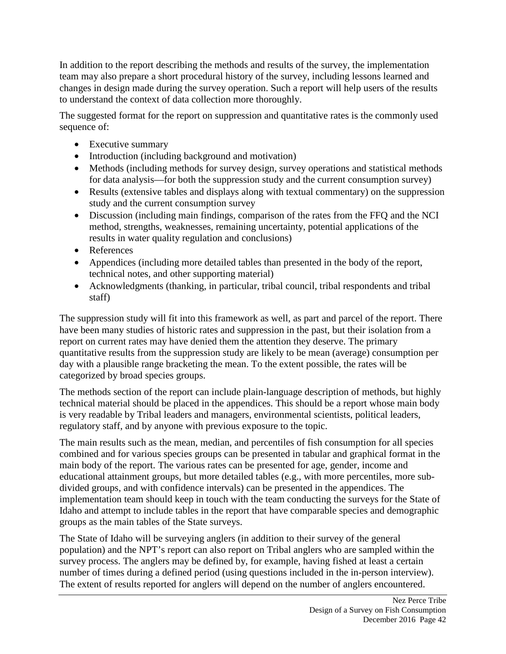In addition to the report describing the methods and results of the survey, the implementation team may also prepare a short procedural history of the survey, including lessons learned and changes in design made during the survey operation. Such a report will help users of the results to understand the context of data collection more thoroughly.

The suggested format for the report on suppression and quantitative rates is the commonly used sequence of:

- Executive summary
- Introduction (including background and motivation)
- Methods (including methods for survey design, survey operations and statistical methods for data analysis—for both the suppression study and the current consumption survey)
- Results (extensive tables and displays along with textual commentary) on the suppression study and the current consumption survey
- Discussion (including main findings, comparison of the rates from the FFQ and the NCI method, strengths, weaknesses, remaining uncertainty, potential applications of the results in water quality regulation and conclusions)
- References
- Appendices (including more detailed tables than presented in the body of the report, technical notes, and other supporting material)
- Acknowledgments (thanking, in particular, tribal council, tribal respondents and tribal staff)

The suppression study will fit into this framework as well, as part and parcel of the report. There have been many studies of historic rates and suppression in the past, but their isolation from a report on current rates may have denied them the attention they deserve. The primary quantitative results from the suppression study are likely to be mean (average) consumption per day with a plausible range bracketing the mean. To the extent possible, the rates will be categorized by broad species groups.

The methods section of the report can include plain-language description of methods, but highly technical material should be placed in the appendices. This should be a report whose main body is very readable by Tribal leaders and managers, environmental scientists, political leaders, regulatory staff, and by anyone with previous exposure to the topic.

The main results such as the mean, median, and percentiles of fish consumption for all species combined and for various species groups can be presented in tabular and graphical format in the main body of the report. The various rates can be presented for age, gender, income and educational attainment groups, but more detailed tables (e.g., with more percentiles, more subdivided groups, and with confidence intervals) can be presented in the appendices. The implementation team should keep in touch with the team conducting the surveys for the State of Idaho and attempt to include tables in the report that have comparable species and demographic groups as the main tables of the State surveys.

The State of Idaho will be surveying anglers (in addition to their survey of the general population) and the NPT's report can also report on Tribal anglers who are sampled within the survey process. The anglers may be defined by, for example, having fished at least a certain number of times during a defined period (using questions included in the in-person interview). The extent of results reported for anglers will depend on the number of anglers encountered.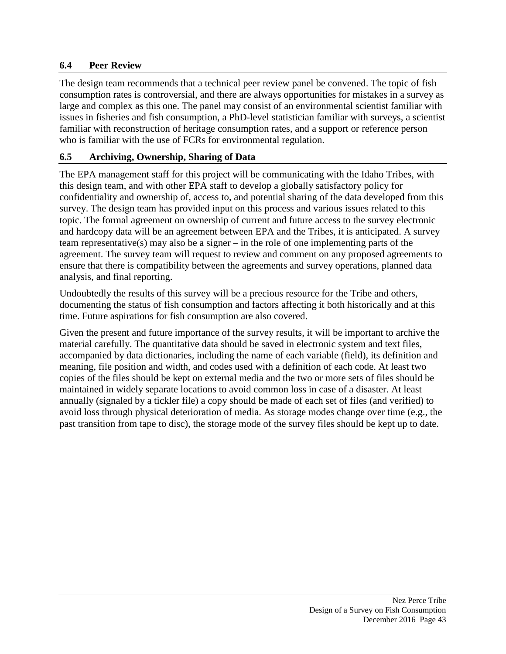#### **6.4 Peer Review**

The design team recommends that a technical peer review panel be convened. The topic of fish consumption rates is controversial, and there are always opportunities for mistakes in a survey as large and complex as this one. The panel may consist of an environmental scientist familiar with issues in fisheries and fish consumption, a PhD-level statistician familiar with surveys, a scientist familiar with reconstruction of heritage consumption rates, and a support or reference person who is familiar with the use of FCRs for environmental regulation.

#### **6.5 Archiving, Ownership, Sharing of Data**

The EPA management staff for this project will be communicating with the Idaho Tribes, with this design team, and with other EPA staff to develop a globally satisfactory policy for confidentiality and ownership of, access to, and potential sharing of the data developed from this survey. The design team has provided input on this process and various issues related to this topic. The formal agreement on ownership of current and future access to the survey electronic and hardcopy data will be an agreement between EPA and the Tribes, it is anticipated. A survey team representative(s) may also be a signer – in the role of one implementing parts of the agreement. The survey team will request to review and comment on any proposed agreements to ensure that there is compatibility between the agreements and survey operations, planned data analysis, and final reporting.

Undoubtedly the results of this survey will be a precious resource for the Tribe and others, documenting the status of fish consumption and factors affecting it both historically and at this time. Future aspirations for fish consumption are also covered.

Given the present and future importance of the survey results, it will be important to archive the material carefully. The quantitative data should be saved in electronic system and text files, accompanied by data dictionaries, including the name of each variable (field), its definition and meaning, file position and width, and codes used with a definition of each code. At least two copies of the files should be kept on external media and the two or more sets of files should be maintained in widely separate locations to avoid common loss in case of a disaster. At least annually (signaled by a tickler file) a copy should be made of each set of files (and verified) to avoid loss through physical deterioration of media. As storage modes change over time (e.g., the past transition from tape to disc), the storage mode of the survey files should be kept up to date.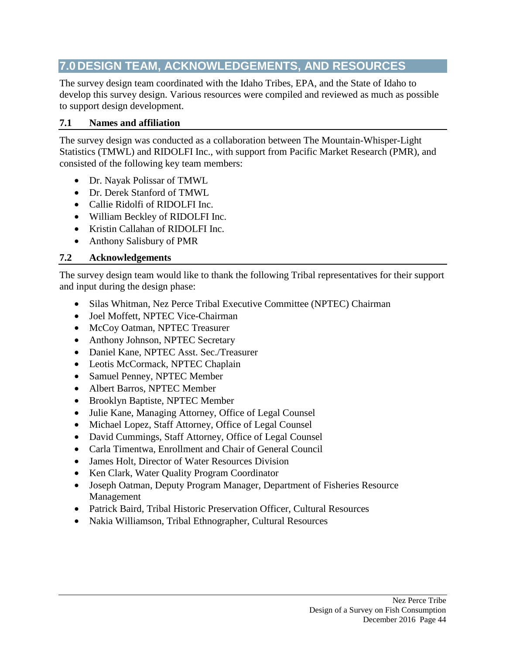# **7.0 DESIGN TEAM, ACKNOWLEDGEMENTS, AND RESOURCES**

The survey design team coordinated with the Idaho Tribes, EPA, and the State of Idaho to develop this survey design. Various resources were compiled and reviewed as much as possible to support design development.

#### **7.1 Names and affiliation**

The survey design was conducted as a collaboration between The Mountain-Whisper-Light Statistics (TMWL) and RIDOLFI Inc., with support from Pacific Market Research (PMR), and consisted of the following key team members:

- Dr. Nayak Polissar of TMWL
- Dr. Derek Stanford of TMWL.
- Callie Ridolfi of RIDOLFI Inc.
- William Beckley of RIDOLFI Inc.
- Kristin Callahan of RIDOLFI Inc.
- Anthony Salisbury of PMR

#### **7.2 Acknowledgements**

The survey design team would like to thank the following Tribal representatives for their support and input during the design phase:

- Silas Whitman, Nez Perce Tribal Executive Committee (NPTEC) Chairman
- Joel Moffett, NPTEC Vice-Chairman
- McCoy Oatman, NPTEC Treasurer
- Anthony Johnson, NPTEC Secretary
- Daniel Kane, NPTEC Asst. Sec./Treasurer
- Leotis McCormack, NPTEC Chaplain
- Samuel Penney, NPTEC Member
- Albert Barros, NPTEC Member
- Brooklyn Baptiste, NPTEC Member
- Julie Kane, Managing Attorney, Office of Legal Counsel
- Michael Lopez, Staff Attorney, Office of Legal Counsel
- David Cummings, Staff Attorney, Office of Legal Counsel
- Carla Timentwa, Enrollment and Chair of General Council
- James Holt, Director of Water Resources Division
- Ken Clark, Water Quality Program Coordinator
- Joseph Oatman, Deputy Program Manager, Department of Fisheries Resource Management
- Patrick Baird, Tribal Historic Preservation Officer, Cultural Resources
- Nakia Williamson, Tribal Ethnographer, Cultural Resources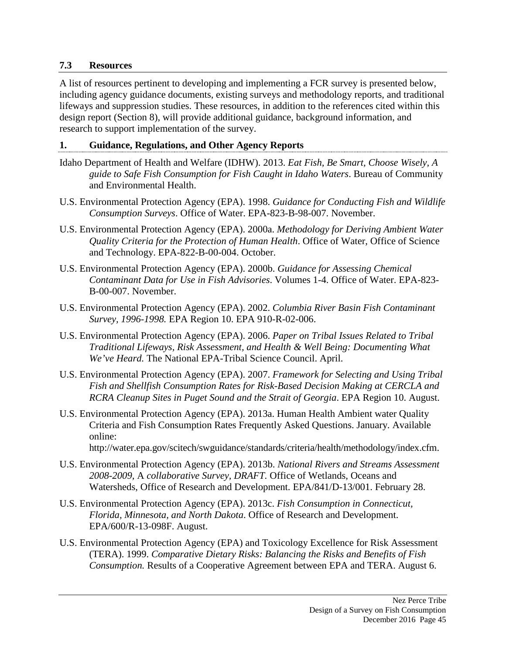#### **7.3 Resources**

A list of resources pertinent to developing and implementing a FCR survey is presented below, including agency guidance documents, existing surveys and methodology reports, and traditional lifeways and suppression studies. These resources, in addition to the references cited within this design report (Section 8), will provide additional guidance, background information, and research to support implementation of the survey.

#### **1. Guidance, Regulations, and Other Agency Reports**

- Idaho Department of Health and Welfare (IDHW). 2013. *Eat Fish, Be Smart, Choose Wisely, A guide to Safe Fish Consumption for Fish Caught in Idaho Waters*. Bureau of Community and Environmental Health.
- U.S. Environmental Protection Agency (EPA). 1998. *Guidance for Conducting Fish and Wildlife Consumption Surveys*. Office of Water. EPA-823-B-98-007. November.
- U.S. Environmental Protection Agency (EPA). 2000a. *Methodology for Deriving Ambient Water Quality Criteria for the Protection of Human Health*. Office of Water, Office of Science and Technology. EPA-822-B-00-004. October.
- U.S. Environmental Protection Agency (EPA). 2000b. *Guidance for Assessing Chemical Contaminant Data for Use in Fish Advisories*. Volumes 1-4. Office of Water. EPA-823- B-00-007. November.
- U.S. Environmental Protection Agency (EPA). 2002. *Columbia River Basin Fish Contaminant Survey, 1996-1998.* EPA Region 10. EPA 910-R-02-006.
- U.S. Environmental Protection Agency (EPA). 2006. *Paper on Tribal Issues Related to Tribal Traditional Lifeways, Risk Assessment, and Health & Well Being: Documenting What We've Heard.* The National EPA-Tribal Science Council. April.
- U.S. Environmental Protection Agency (EPA). 2007. *Framework for Selecting and Using Tribal Fish and Shellfish Consumption Rates for Risk-Based Decision Making at CERCLA and RCRA Cleanup Sites in Puget Sound and the Strait of Georgia*. EPA Region 10. August.
- U.S. Environmental Protection Agency (EPA). 2013a. Human Health Ambient water Quality Criteria and Fish Consumption Rates Frequently Asked Questions. January. Available online:
	- http://water.epa.gov/scitech/swguidance/standards/criteria/health/methodology/index.cfm.
- U.S. Environmental Protection Agency (EPA). 2013b. *National Rivers and Streams Assessment 2008-2009,* A *collaborative Survey, DRAFT.* Office of Wetlands, Oceans and Watersheds, Office of Research and Development. EPA/841/D-13/001. February 28.
- U.S. Environmental Protection Agency (EPA). 2013c. *Fish Consumption in Connecticut, Florida, Minnesota, and North Dakota*. Office of Research and Development. EPA/600/R-13-098F. August.
- U.S. Environmental Protection Agency (EPA) and Toxicology Excellence for Risk Assessment (TERA). 1999. *Comparative Dietary Risks: Balancing the Risks and Benefits of Fish Consumption.* Results of a Cooperative Agreement between EPA and TERA. August 6.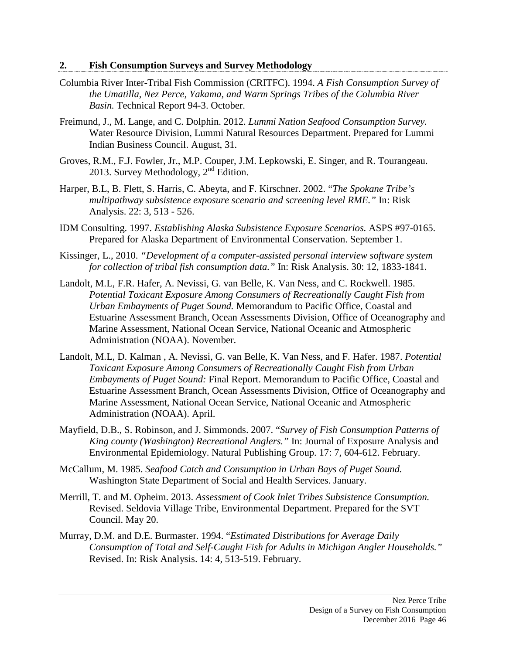#### **2. Fish Consumption Surveys and Survey Methodology**

- Columbia River Inter-Tribal Fish Commission (CRITFC). 1994. *A Fish Consumption Survey of the Umatilla, Nez Perce, Yakama, and Warm Springs Tribes of the Columbia River Basin.* Technical Report 94-3. October.
- Freimund, J., M. Lange, and C. Dolphin. 2012. *Lummi Nation Seafood Consumption Survey.*  Water Resource Division, Lummi Natural Resources Department. Prepared for Lummi Indian Business Council. August, 31.
- Groves, R.M., F.J. Fowler, Jr., M.P. Couper, J.M. Lepkowski, E. Singer, and R. Tourangeau. 2013. Survey Methodology, 2<sup>nd</sup> Edition.
- Harper, B.L, B. Flett, S. Harris, C. Abeyta, and F. Kirschner. 2002. "*The Spokane Tribe's multipathway subsistence exposure scenario and screening level RME."* In: Risk Analysis. 22: 3, 513 - 526.
- IDM Consulting. 1997. *Establishing Alaska Subsistence Exposure Scenarios.* ASPS #97-0165. Prepared for Alaska Department of Environmental Conservation. September 1.
- Kissinger, L., 2010. *"Development of a computer-assisted personal interview software system for collection of tribal fish consumption data."* In: Risk Analysis. 30: 12, 1833-1841.
- Landolt, M.L, F.R. Hafer, A. Nevissi, G. van Belle, K. Van Ness, and C. Rockwell. 1985. *Potential Toxicant Exposure Among Consumers of Recreationally Caught Fish from Urban Embayments of Puget Sound.* Memorandum to Pacific Office, Coastal and Estuarine Assessment Branch, Ocean Assessments Division, Office of Oceanography and Marine Assessment, National Ocean Service, National Oceanic and Atmospheric Administration (NOAA). November.
- Landolt, M.L, D. Kalman , A. Nevissi, G. van Belle, K. Van Ness, and F. Hafer. 1987. *Potential Toxicant Exposure Among Consumers of Recreationally Caught Fish from Urban Embayments of Puget Sound:* Final Report. Memorandum to Pacific Office, Coastal and Estuarine Assessment Branch, Ocean Assessments Division, Office of Oceanography and Marine Assessment, National Ocean Service, National Oceanic and Atmospheric Administration (NOAA). April.
- Mayfield, D.B., S. Robinson, and J. Simmonds. 2007. "*Survey of Fish Consumption Patterns of King county (Washington) Recreational Anglers."* In: Journal of Exposure Analysis and Environmental Epidemiology. Natural Publishing Group. 17: 7, 604-612. February.
- McCallum, M. 1985. *Seafood Catch and Consumption in Urban Bays of Puget Sound.*  Washington State Department of Social and Health Services. January.
- Merrill, T. and M. Opheim. 2013. *Assessment of Cook Inlet Tribes Subsistence Consumption.*  Revised. Seldovia Village Tribe, Environmental Department. Prepared for the SVT Council. May 20.
- Murray, D.M. and D.E. Burmaster. 1994. "*Estimated Distributions for Average Daily Consumption of Total and Self-Caught Fish for Adults in Michigan Angler Households."* Revised. In: Risk Analysis. 14: 4, 513-519. February.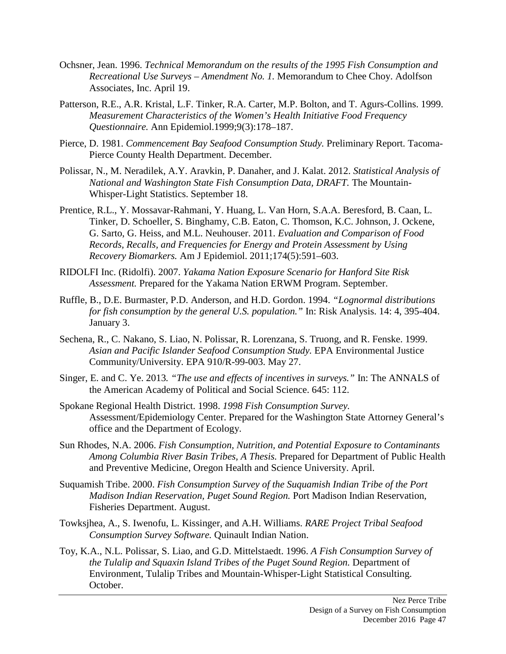- Ochsner, Jean. 1996. *Technical Memorandum on the results of the 1995 Fish Consumption and Recreational Use Surveys – Amendment No. 1.* Memorandum to Chee Choy. Adolfson Associates, Inc. April 19.
- Patterson, R.E., A.R. Kristal, L.F. Tinker, R.A. Carter, M.P. Bolton, and T. Agurs-Collins. 1999. *Measurement Characteristics of the Women's Health Initiative Food Frequency Questionnaire.* Ann Epidemiol.1999;9(3):178–187.
- Pierce, D. 1981. *Commencement Bay Seafood Consumption Study.* Preliminary Report. Tacoma-Pierce County Health Department. December.
- Polissar, N., M. Neradilek, A.Y. Aravkin, P. Danaher, and J. Kalat. 2012. *Statistical Analysis of National and Washington State Fish Consumption Data, DRAFT.* The Mountain-Whisper-Light Statistics. September 18.
- Prentice, R.L., Y. Mossavar-Rahmani, Y. Huang, L. Van Horn, S.A.A. Beresford, B. Caan, L. Tinker, D. Schoeller, S. Binghamy, C.B. Eaton, C. Thomson, K.C. Johnson, J. Ockene, G. Sarto, G. Heiss, and M.L. Neuhouser. 2011. *Evaluation and Comparison of Food Records, Recalls, and Frequencies for Energy and Protein Assessment by Using Recovery Biomarkers.* Am J Epidemiol. 2011;174(5):591–603.
- RIDOLFI Inc. (Ridolfi). 2007. *Yakama Nation Exposure Scenario for Hanford Site Risk Assessment.* Prepared for the Yakama Nation ERWM Program. September.
- Ruffle, B., D.E. Burmaster, P.D. Anderson, and H.D. Gordon. 1994. *"Lognormal distributions for fish consumption by the general U.S. population."* In: Risk Analysis. 14: 4, 395-404. January 3.
- Sechena, R., C. Nakano, S. Liao, N. Polissar, R. Lorenzana, S. Truong, and R. Fenske. 1999. *Asian and Pacific Islander Seafood Consumption Study.* EPA Environmental Justice Community/University. EPA 910/R-99-003. May 27.
- Singer, E. and C. Ye. 2013*. "The use and effects of incentives in surveys."* In: The ANNALS of the American Academy of Political and Social Science. 645: 112.
- Spokane Regional Health District. 1998. *1998 Fish Consumption Survey.*  Assessment/Epidemiology Center. Prepared for the Washington State Attorney General's office and the Department of Ecology.
- Sun Rhodes, N.A. 2006. *Fish Consumption, Nutrition, and Potential Exposure to Contaminants Among Columbia River Basin Tribes, A Thesis.* Prepared for Department of Public Health and Preventive Medicine, Oregon Health and Science University. April.
- Suquamish Tribe. 2000. *Fish Consumption Survey of the Suquamish Indian Tribe of the Port Madison Indian Reservation, Puget Sound Region.* Port Madison Indian Reservation, Fisheries Department. August.
- Towksjhea, A., S. Iwenofu, L. Kissinger, and A.H. Williams. *RARE Project Tribal Seafood Consumption Survey Software.* Quinault Indian Nation.
- Toy, K.A., N.L. Polissar, S. Liao, and G.D. Mittelstaedt. 1996. *A Fish Consumption Survey of the Tulalip and Squaxin Island Tribes of the Puget Sound Region.* Department of Environment, Tulalip Tribes and Mountain-Whisper-Light Statistical Consulting. October.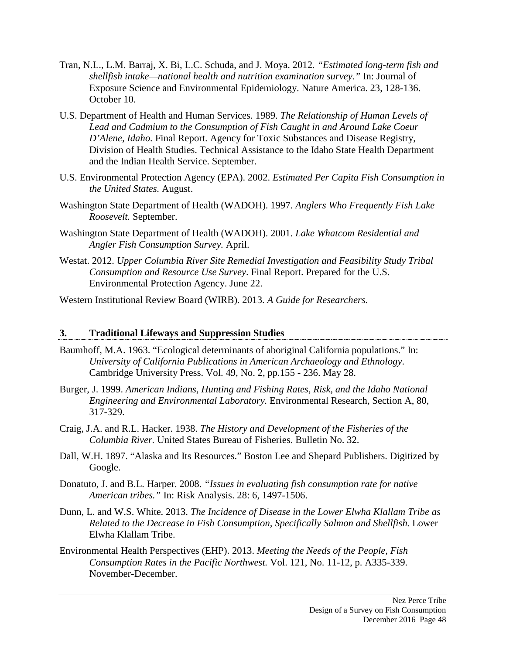- Tran, N.L., L.M. Barraj, X. Bi, L.C. Schuda, and J. Moya. 2012. *"Estimated long-term fish and shellfish intake—national health and nutrition examination survey."* In: Journal of Exposure Science and Environmental Epidemiology. Nature America. 23, 128-136. October 10.
- U.S. Department of Health and Human Services. 1989. *The Relationship of Human Levels of Lead and Cadmium to the Consumption of Fish Caught in and Around Lake Coeur D'Alene, Idaho.* Final Report. Agency for Toxic Substances and Disease Registry, Division of Health Studies. Technical Assistance to the Idaho State Health Department and the Indian Health Service. September.
- U.S. Environmental Protection Agency (EPA). 2002. *Estimated Per Capita Fish Consumption in the United States.* August.
- Washington State Department of Health (WADOH). 1997. *Anglers Who Frequently Fish Lake Roosevelt.* September.
- Washington State Department of Health (WADOH). 2001. *Lake Whatcom Residential and Angler Fish Consumption Survey.* April.
- Westat. 2012. *Upper Columbia River Site Remedial Investigation and Feasibility Study Tribal Consumption and Resource Use Survey*. Final Report. Prepared for the U.S. Environmental Protection Agency. June 22.

Western Institutional Review Board (WIRB). 2013. *A Guide for Researchers.* 

#### **3. Traditional Lifeways and Suppression Studies**

- Baumhoff, M.A. 1963. "Ecological determinants of aboriginal California populations." In: *University of California Publications in American Archaeology and Ethnology*. Cambridge University Press. Vol. 49, No. 2, pp.155 - 236. May 28.
- Burger, J. 1999. *American Indians, Hunting and Fishing Rates, Risk, and the Idaho National Engineering and Environmental Laboratory.* Environmental Research, Section A, 80, 317-329.
- Craig, J.A. and R.L. Hacker. 1938. *The History and Development of the Fisheries of the Columbia River.* United States Bureau of Fisheries. Bulletin No. 32.
- Dall, W.H. 1897. "Alaska and Its Resources." Boston Lee and Shepard Publishers. Digitized by Google.
- Donatuto, J. and B.L. Harper. 2008. *"Issues in evaluating fish consumption rate for native American tribes."* In: Risk Analysis. 28: 6, 1497-1506.
- Dunn, L. and W.S. White. 2013. *The Incidence of Disease in the Lower Elwha Klallam Tribe as Related to the Decrease in Fish Consumption, Specifically Salmon and Shellfish.* Lower Elwha Klallam Tribe.
- Environmental Health Perspectives (EHP). 2013. *Meeting the Needs of the People, Fish Consumption Rates in the Pacific Northwest.* Vol. 121, No. 11-12, p. A335-339. November-December.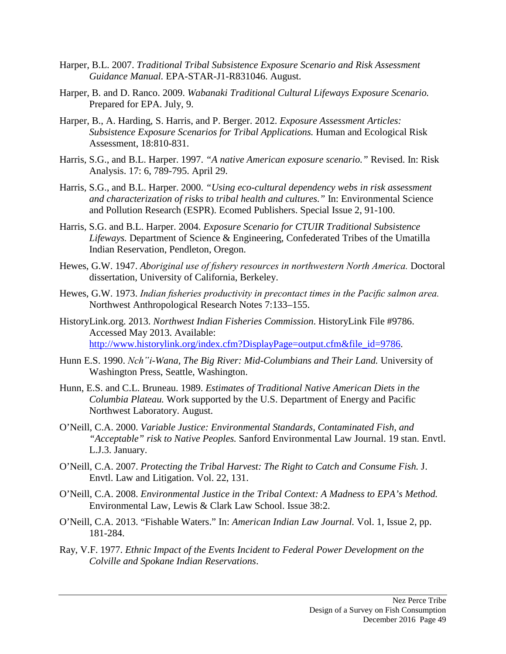- Harper, B.L. 2007. *Traditional Tribal Subsistence Exposure Scenario and Risk Assessment Guidance Manual.* EPA-STAR-J1-R831046. August.
- Harper, B. and D. Ranco. 2009. *Wabanaki Traditional Cultural Lifeways Exposure Scenario.*  Prepared for EPA. July, 9.
- Harper, B., A. Harding, S. Harris, and P. Berger. 2012. *Exposure Assessment Articles: Subsistence Exposure Scenarios for Tribal Applications.* Human and Ecological Risk Assessment, 18:810-831.
- Harris, S.G., and B.L. Harper. 1997. *"A native American exposure scenario."* Revised. In: Risk Analysis. 17: 6, 789-795. April 29.
- Harris, S.G., and B.L. Harper. 2000. *"Using eco-cultural dependency webs in risk assessment and characterization of risks to tribal health and cultures."* In: Environmental Science and Pollution Research (ESPR). Ecomed Publishers. Special Issue 2, 91-100.
- Harris, S.G. and B.L. Harper. 2004. *Exposure Scenario for CTUIR Traditional Subsistence Lifeways.* Department of Science & Engineering, Confederated Tribes of the Umatilla Indian Reservation, Pendleton, Oregon.
- Hewes, G.W. 1947. *Aboriginal use of fishery resources in northwestern North America.* Doctoral dissertation, University of California, Berkeley.
- Hewes, G.W. 1973. *Indian fisheries productivity in precontact times in the Pacific salmon area.* Northwest Anthropological Research Notes 7:133–155.
- HistoryLink.org. 2013. *Northwest Indian Fisheries Commission*. HistoryLink File #9786. Accessed May 2013. Available: [http://www.historylink.org/index.cfm?DisplayPage=output.cfm&file\\_id=9786.](http://www.historylink.org/index.cfm?DisplayPage=output.cfm&file_id=9786)
- Hunn E.S. 1990. *Nch"i-Wana, The Big River: Mid-Columbians and Their Land.* University of Washington Press, Seattle, Washington.
- Hunn, E.S. and C.L. Bruneau. 1989. *Estimates of Traditional Native American Diets in the Columbia Plateau.* Work supported by the U.S. Department of Energy and Pacific Northwest Laboratory. August.
- O'Neill, C.A. 2000. *Variable Justice: Environmental Standards, Contaminated Fish, and "Acceptable" risk to Native Peoples.* Sanford Environmental Law Journal. 19 stan. Envtl. L.J.3. January.
- O'Neill, C.A. 2007. *Protecting the Tribal Harvest: The Right to Catch and Consume Fish.* J. Envtl. Law and Litigation. Vol. 22, 131.
- O'Neill, C.A. 2008. *Environmental Justice in the Tribal Context: A Madness to EPA's Method.* Environmental Law, Lewis & Clark Law School. Issue 38:2.
- O'Neill, C.A. 2013. "Fishable Waters." In: *American Indian Law Journal.* Vol. 1, Issue 2, pp. 181-284.
- Ray, V.F. 1977. *Ethnic Impact of the Events Incident to Federal Power Development on the Colville and Spokane Indian Reservations*.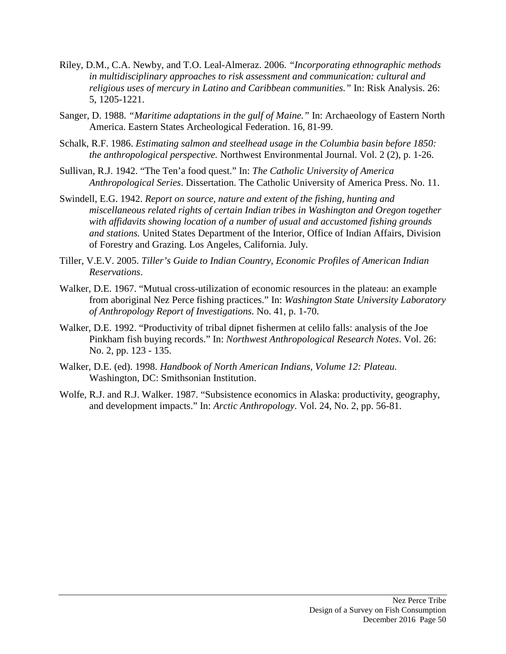- Riley, D.M., C.A. Newby, and T.O. Leal-Almeraz. 2006. *"Incorporating ethnographic methods in multidisciplinary approaches to risk assessment and communication: cultural and religious uses of mercury in Latino and Caribbean communities."* In: Risk Analysis. 26: 5, 1205-1221.
- Sanger, D. 1988. *"Maritime adaptations in the gulf of Maine."* In: Archaeology of Eastern North America. Eastern States Archeological Federation. 16, 81-99.
- Schalk, R.F. 1986. *Estimating salmon and steelhead usage in the Columbia basin before 1850: the anthropological perspective.* Northwest Environmental Journal. Vol. 2 (2), p. 1-26.
- Sullivan, R.J. 1942. "The Ten'a food quest." In: *The Catholic University of America Anthropological Series*. Dissertation. The Catholic University of America Press. No. 11.
- Swindell, E.G. 1942. *Report on source, nature and extent of the fishing, hunting and miscellaneous related rights of certain Indian tribes in Washington and Oregon together with affidavits showing location of a number of usual and accustomed fishing grounds and stations.* United States Department of the Interior, Office of Indian Affairs, Division of Forestry and Grazing. Los Angeles, California. July.
- Tiller, V.E.V. 2005. *Tiller's Guide to Indian Country, Economic Profiles of American Indian Reservations*.
- Walker, D.E. 1967. "Mutual cross-utilization of economic resources in the plateau: an example from aboriginal Nez Perce fishing practices." In: *Washington State University Laboratory of Anthropology Report of Investigations.* No. 41, p. 1-70.
- Walker, D.E. 1992. "Productivity of tribal dipnet fishermen at celilo falls: analysis of the Joe Pinkham fish buying records." In: *Northwest Anthropological Research Notes*. Vol. 26: No. 2, pp. 123 - 135.
- Walker, D.E. (ed). 1998. *Handbook of North American Indians, Volume 12: Plateau.* Washington, DC: Smithsonian Institution.
- Wolfe, R.J. and R.J. Walker. 1987. "Subsistence economics in Alaska: productivity, geography, and development impacts." In: *Arctic Anthropology*. Vol. 24, No. 2, pp. 56-81.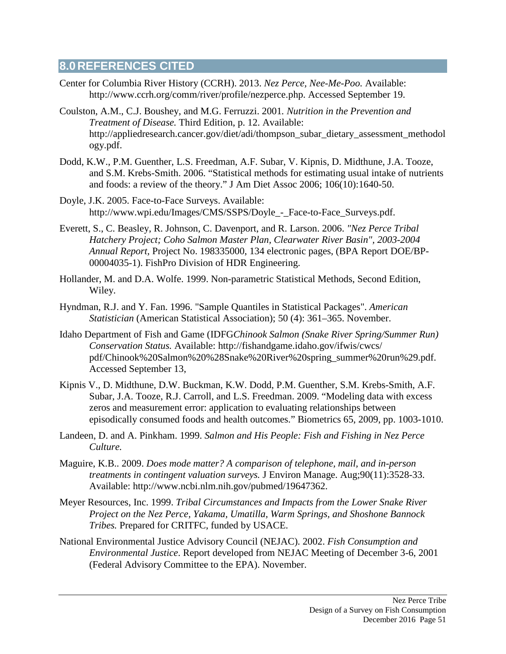# **8.0 REFERENCES CITED**

- Center for Columbia River History (CCRH). 2013. *Nez Perce, Nee-Me-Poo.* Available: http://www.ccrh.org/comm/river/profile/nezperce.php. Accessed September 19.
- Coulston, A.M., C.J. Boushey, and M.G. Ferruzzi. 2001*. Nutrition in the Prevention and Treatment of Disease.* Third Edition, p. 12. Available: [http://appliedresearch.cancer.gov/diet/adi/thompson\\_subar\\_dietary\\_assessment\\_methodol](http://appliedresearch.cancer.gov/diet/adi/thompson_subar_dietary_assessment_methodology.pdf) [ogy.pdf.](http://appliedresearch.cancer.gov/diet/adi/thompson_subar_dietary_assessment_methodology.pdf)
- Dodd, K.W., P.M. Guenther, L.S. Freedman, A.F. Subar, V. Kipnis, D. Midthune, J.A. Tooze, and S.M. Krebs-Smith. 2006. "Statistical methods for estimating usual intake of nutrients and foods: a review of the theory." J Am Diet Assoc 2006; 106(10):1640-50.
- Doyle, J.K. 2005. Face-to-Face Surveys. Available: http://www.wpi.edu/Images/CMS/SSPS/Doyle\_-\_Face-to-Face\_Surveys.pdf.
- Everett, S., C. Beasley, R. Johnson, C. Davenport, and R. Larson. 2006. *"Nez Perce Tribal Hatchery Project; Coho Salmon Master Plan, Clearwater River Basin", 2003-2004 Annual Report,* Project No. 198335000, 134 electronic pages, (BPA Report DOE/BP-00004035-1). FishPro Division of HDR Engineering.
- Hollander, M. and D.A. Wolfe. 1999. Non-parametric Statistical Methods, Second Edition, Wiley.
- Hyndman, R.J. and Y. Fan. 1996. "Sample Quantiles in Statistical Packages". *American Statistician* (American Statistical Association); 50 (4): 361–365. November.
- Idaho Department of Fish and Game (IDFG*Chinook Salmon (Snake River Spring/Summer Run) Conservation Status.* Available: http://fishandgame.idaho.gov/ifwis/cwcs/ pdf/Chinook%20Salmon%20%28Snake%20River%20spring\_summer%20run%29.pdf. Accessed September 13,
- Kipnis V., D. Midthune, D.W. Buckman, K.W. Dodd, P.M. Guenther, S.M. Krebs-Smith, A.F. Subar, J.A. Tooze, R.J. Carroll, and L.S. Freedman. 2009. "Modeling data with excess zeros and measurement error: application to evaluating relationships between episodically consumed foods and health outcomes." Biometrics 65, 2009, pp. 1003-1010.
- Landeen, D. and A. Pinkham. 1999. *Salmon and His People: Fish and Fishing in Nez Perce Culture.*
- Maguire, K.B.. 2009. *Does mode matter? A comparison of telephone, mail, and in-person treatments in contingent valuation surveys.* J Environ Manage. Aug;90(11):3528-33. Available: http://www.ncbi.nlm.nih.gov/pubmed/19647362.
- Meyer Resources, Inc. 1999. *Tribal Circumstances and Impacts from the Lower Snake River Project on the Nez Perce, Yakama, Umatilla, Warm Springs, and Shoshone Bannock Tribes.* Prepared for CRITFC, funded by USACE.
- National Environmental Justice Advisory Council (NEJAC). 2002. *Fish Consumption and Environmental Justice*. Report developed from NEJAC Meeting of December 3-6, 2001 (Federal Advisory Committee to the EPA). November.